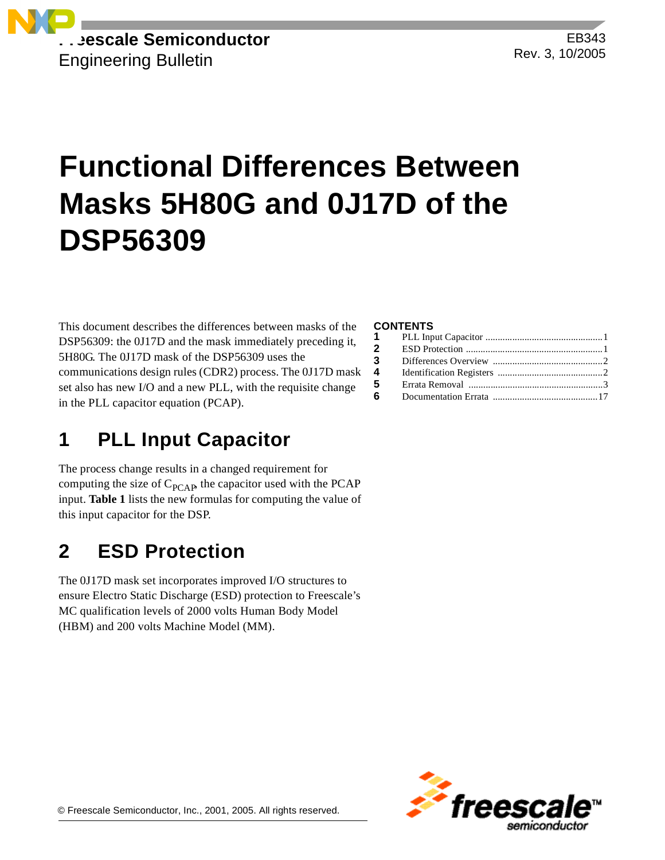

EB343 Rev. 3, 10/2005

# **Functional Differences Between Masks 5H80G and 0J17D of the DSP56309**

This document describes the differences between masks of the DSP56309: the 0J17D and the mask immediately preceding it, 5H80G. The 0J17D mask of the DSP56309 uses the communications design rules (CDR2) process. The 0J17D mask set also has new I/O and a new PLL, with the requisite change in the PLL capacitor equation (PCAP).

# **1 PLL Input Capacitor**

The process change results in a changed requirement for computing the size of  $C_{PCAP}$ , the capacitor used with the PCAP input. **[Table 1](#page-1-0)** lists the new formulas for computing the value of this input capacitor for the DSP.

# **2 ESD Protection**

The 0J17D mask set incorporates improved I/O structures to ensure Electro Static Discharge (ESD) protection to Freescale's MC qualification levels of 2000 volts Human Body Model (HBM) and 200 volts Machine Model (MM).

### **CONTENTS**

| $\mathbf{2}$ |  |
|--------------|--|
| $3^{\circ}$  |  |
| 4            |  |
| 5            |  |
| 6            |  |
|              |  |

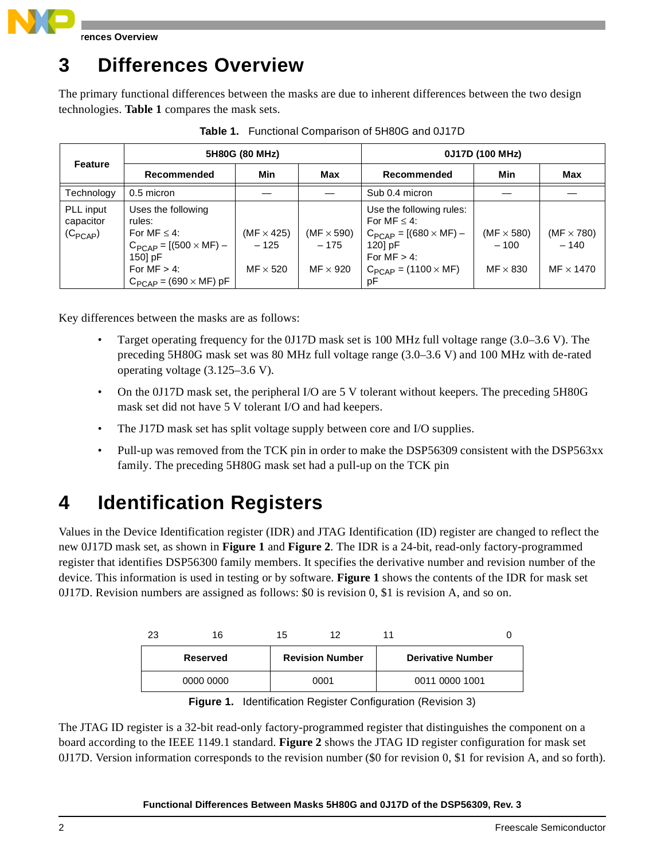

**rences Overview** 

# **3 Differences Overview**

The primary functional differences between the masks are due to inherent differences between the two design technologies. **[Table 1](#page-1-0)** compares the mask sets.

<span id="page-1-0"></span>

|                                        |                                                                                                                                                       | 5H80G (80 MHz)                                 |                                                | 0J17D (100 MHz)                                                                                                                                     |                                                |                                                 |  |
|----------------------------------------|-------------------------------------------------------------------------------------------------------------------------------------------------------|------------------------------------------------|------------------------------------------------|-----------------------------------------------------------------------------------------------------------------------------------------------------|------------------------------------------------|-------------------------------------------------|--|
| <b>Feature</b>                         | Recommended                                                                                                                                           | Min                                            | Max                                            | Recommended                                                                                                                                         | Min                                            | Max                                             |  |
| Technology                             | 0.5 micron                                                                                                                                            |                                                |                                                | Sub 0.4 micron                                                                                                                                      |                                                |                                                 |  |
| PLL input<br>capacitor<br>$(C_{PCAP})$ | Uses the following<br>rules:<br>For MF $\leq$ 4:<br>$C_{PCAP} = [(500 \times MF) -$<br>150] pF<br>For $MF > 4$ :<br>$C_{PCAP}$ = (690 $\times$ MF) pF | $(MF \times 425)$<br>$-125$<br>$MF \times 520$ | (MF $\times$ 590)<br>$-175$<br>$MF \times 920$ | Use the following rules:<br>For MF $\leq$ 4:<br>$C_{PCAP} = [(680 \times MF) -$<br>120] pF<br>For $MF > 4$ :<br>$C_{PCAP} = (1100 \times MF)$<br>pF | (MF $\times$ 580)<br>$-100$<br>$MF \times 830$ | (MF $\times$ 780)<br>$-140$<br>$MF \times 1470$ |  |

**Table 1.** Functional Comparison of 5H80G and 0J17D

Key differences between the masks are as follows:

- Target operating frequency for the 0J17D mask set is 100 MHz full voltage range (3.0–3.6 V). The preceding 5H80G mask set was 80 MHz full voltage range (3.0–3.6 V) and 100 MHz with de-rated operating voltage (3.125–3.6 V).
- On the 0J17D mask set, the peripheral I/O are 5 V tolerant without keepers. The preceding 5H80G mask set did not have 5 V tolerant I/O and had keepers.
- The J17D mask set has split voltage supply between core and I/O supplies.
- Pull-up was removed from the TCK pin in order to make the DSP56309 consistent with the DSP563xx family. The preceding 5H80G mask set had a pull-up on the TCK pin

# **4 Identification Registers**

Values in the Device Identification register (IDR) and JTAG Identification (ID) register are changed to reflect the new 0J17D mask set, as shown in **[Figure 1](#page-1-1)** and **[Figure 2](#page-2-0)**. The IDR is a 24-bit, read-only factory-programmed register that identifies DSP56300 family members. It specifies the derivative number and revision number of the device. This information is used in testing or by software. **[Figure 1](#page-1-1)** shows the contents of the IDR for mask set 0J17D. Revision numbers are assigned as follows: \$0 is revision 0, \$1 is revision A, and so on.

| 23 | 16        | 15 | 12                     |                          |  |
|----|-----------|----|------------------------|--------------------------|--|
|    | Reserved  |    | <b>Revision Number</b> | <b>Derivative Number</b> |  |
|    | 0000 0000 |    | 0001                   | 0011 0000 1001           |  |

**Figure 1.** Identification Register Configuration (Revision 3)

<span id="page-1-1"></span>The JTAG ID register is a 32-bit read-only factory-programmed register that distinguishes the component on a board according to the IEEE 1149.1 standard. **[Figure 2](#page-2-0)** shows the JTAG ID register configuration for mask set 0J17D. Version information corresponds to the revision number (\$0 for revision 0, \$1 for revision A, and so forth).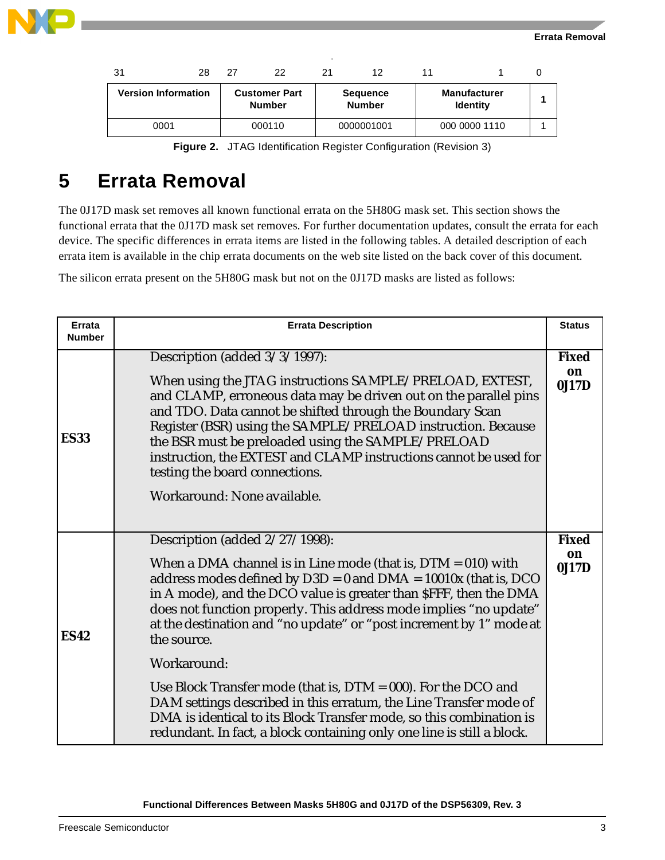

| 31                         | 28 | 27 | 22                                    | 21 | 12                               | 11 |                                        |  |
|----------------------------|----|----|---------------------------------------|----|----------------------------------|----|----------------------------------------|--|
| <b>Version Information</b> |    |    | <b>Customer Part</b><br><b>Number</b> |    | <b>Sequence</b><br><b>Number</b> |    | <b>Manufacturer</b><br><b>Identity</b> |  |
| 0001                       |    |    | 000110                                |    | 0000001001                       |    | 000 0000 1110                          |  |

|  |  |  |  | Figure 2. JTAG Identification Register Configuration (Revision 3) |  |  |
|--|--|--|--|-------------------------------------------------------------------|--|--|
|--|--|--|--|-------------------------------------------------------------------|--|--|

<span id="page-2-0"></span>The 0J17D mask set removes all known functional errata on the 5H80G mask set. This section shows the functional errata that the 0J17D mask set removes. For further documentation updates, consult the errata for each device. The specific differences in errata items are listed in the following tables. A detailed description of each errata item is available in the chip errata documents on the web site listed on the back cover of this document.

The silicon errata present on the 5H80G mask but not on the 0J17D masks are listed as follows:

| Errata<br><b>Number</b> | <b>Errata Description</b>                                                                                                                                                                                                                                                                                                                                                                                                                                                                                                                                                                                                                                                                                         | <b>Status</b>               |
|-------------------------|-------------------------------------------------------------------------------------------------------------------------------------------------------------------------------------------------------------------------------------------------------------------------------------------------------------------------------------------------------------------------------------------------------------------------------------------------------------------------------------------------------------------------------------------------------------------------------------------------------------------------------------------------------------------------------------------------------------------|-----------------------------|
| <b>ES33</b>             | Description (added 3/3/1997):<br>When using the JTAG instructions SAMPLE/PRELOAD, EXTEST,<br>and CLAMP, erroneous data may be driven out on the parallel pins<br>and TDO. Data cannot be shifted through the Boundary Scan<br>Register (BSR) using the SAMPLE/PRELOAD instruction. Because<br>the BSR must be preloaded using the SAMPLE/PRELOAD<br>instruction, the EXTEST and CLAMP instructions cannot be used for<br>testing the board connections.<br>Workaround: None available.                                                                                                                                                                                                                            | <b>Fixed</b><br>on<br>0J17D |
| <b>ES42</b>             | Description (added 2/27/1998):<br>When a DMA channel is in Line mode (that is, $DTM = 010$ ) with<br>address modes defined by $D3D = 0$ and $DMA = 10010x$ (that is, DCO<br>in A mode), and the DCO value is greater than \$FFF, then the DMA<br>does not function properly. This address mode implies "no update"<br>at the destination and "no update" or "post increment by 1" mode at<br>the source.<br>Workaround:<br>Use Block Transfer mode (that is, $DTM = 000$ ). For the DCO and<br>DAM settings described in this erratum, the Line Transfer mode of<br>DMA is identical to its Block Transfer mode, so this combination is<br>redundant. In fact, a block containing only one line is still a block. | <b>Fixed</b><br>on<br>0J17D |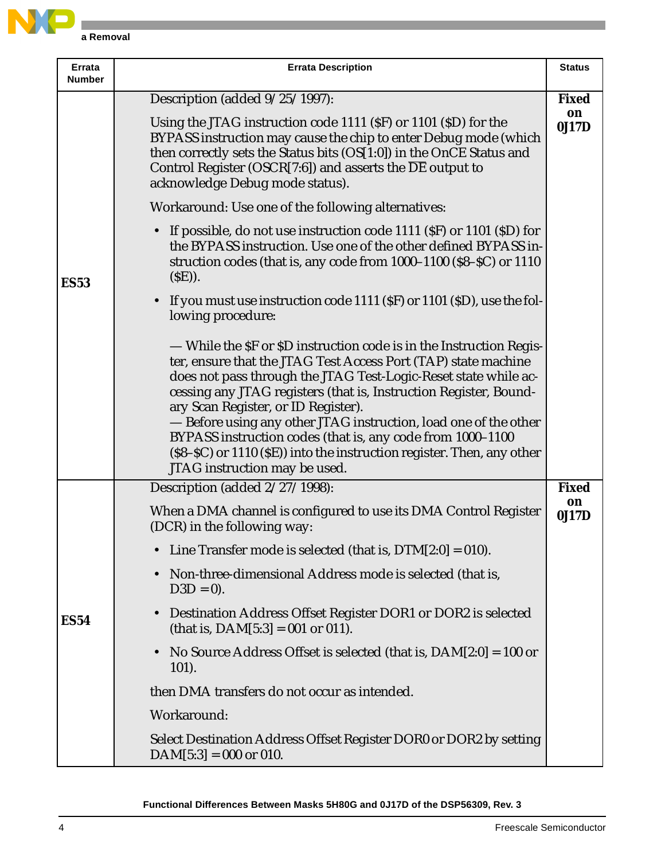

| Errata<br><b>Number</b> | <b>Errata Description</b>                                                                                                                                                                                                                                                                                                                                                                                                                                                                                                                                         | <b>Status</b> |  |  |  |  |
|-------------------------|-------------------------------------------------------------------------------------------------------------------------------------------------------------------------------------------------------------------------------------------------------------------------------------------------------------------------------------------------------------------------------------------------------------------------------------------------------------------------------------------------------------------------------------------------------------------|---------------|--|--|--|--|
|                         | Description (added $9/25/1997$ ):                                                                                                                                                                                                                                                                                                                                                                                                                                                                                                                                 | <b>Fixed</b>  |  |  |  |  |
|                         | Using the JTAG instruction code 1111 (SF) or 1101 (SD) for the<br>BYPASS instruction may cause the chip to enter Debug mode (which<br>then correctly sets the Status bits (OS[1:0]) in the OnCE Status and<br>Control Register (OSCR[7:6]) and asserts the $\overline{DE}$ output to<br>acknowledge Debug mode status).                                                                                                                                                                                                                                           |               |  |  |  |  |
|                         | Workaround: Use one of the following alternatives:                                                                                                                                                                                                                                                                                                                                                                                                                                                                                                                |               |  |  |  |  |
| <b>ES53</b>             | If possible, do not use instruction code 1111 (\$F) or 1101 (\$D) for<br>$\bullet$<br>the BYPASS instruction. Use one of the other defined BYPASS in-<br>struction codes (that is, any code from 1000–1100 (\$8–\$C) or 1110<br>$(SE)$ ).                                                                                                                                                                                                                                                                                                                         |               |  |  |  |  |
|                         | If you must use instruction code 1111 (\$F) or 1101 (\$D), use the fol-<br>$\bullet$<br>lowing procedure:                                                                                                                                                                                                                                                                                                                                                                                                                                                         |               |  |  |  |  |
|                         | — While the SF or SD instruction code is in the Instruction Regis-<br>ter, ensure that the JTAG Test Access Port (TAP) state machine<br>does not pass through the JTAG Test-Logic-Reset state while ac-<br>cessing any JTAG registers (that is, Instruction Register, Bound-<br>ary Scan Register, or ID Register).<br>- Before using any other JTAG instruction, load one of the other<br>BYPASS instruction codes (that is, any code from 1000-1100<br>(\$8-\$C) or 1110 (\$E)) into the instruction register. Then, any other<br>JTAG instruction may be used. |               |  |  |  |  |
|                         | Description (added 2/27/1998):                                                                                                                                                                                                                                                                                                                                                                                                                                                                                                                                    | <b>Fixed</b>  |  |  |  |  |
|                         | When a DMA channel is configured to use its DMA Control Register<br>(DCR) in the following way:                                                                                                                                                                                                                                                                                                                                                                                                                                                                   | on<br>0J17D   |  |  |  |  |
|                         | Line Transfer mode is selected (that is, $DTM[2:0] = 010$ ).                                                                                                                                                                                                                                                                                                                                                                                                                                                                                                      |               |  |  |  |  |
|                         | Non-three-dimensional Address mode is selected (that is,<br>$D3D = 0$ ).                                                                                                                                                                                                                                                                                                                                                                                                                                                                                          |               |  |  |  |  |
| <b>ES54</b>             | Destination Address Offset Register DOR1 or DOR2 is selected<br>$\bullet$<br>(that is, $DAM[5:3] = 001$ or 011).                                                                                                                                                                                                                                                                                                                                                                                                                                                  |               |  |  |  |  |
|                         | No Source Address Offset is selected (that is, $DAM[2:0] = 100$ or<br>$\bullet$<br>$101$ ).                                                                                                                                                                                                                                                                                                                                                                                                                                                                       |               |  |  |  |  |
|                         | then DMA transfers do not occur as intended.                                                                                                                                                                                                                                                                                                                                                                                                                                                                                                                      |               |  |  |  |  |
|                         | Workaround:                                                                                                                                                                                                                                                                                                                                                                                                                                                                                                                                                       |               |  |  |  |  |
|                         | Select Destination Address Offset Register DOR0 or DOR2 by setting<br>$DAM[5:3] = 000$ or 010.                                                                                                                                                                                                                                                                                                                                                                                                                                                                    |               |  |  |  |  |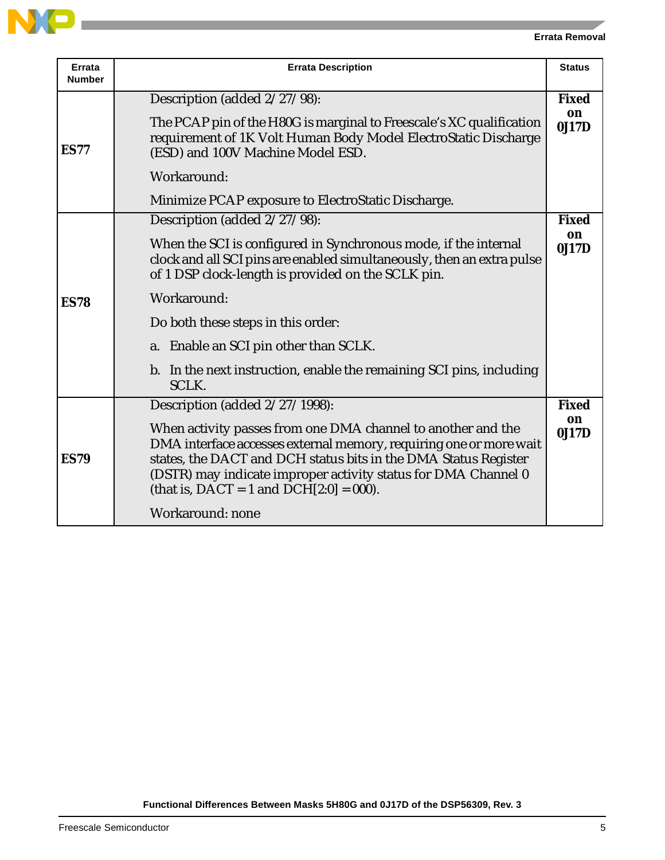

| <b>Errata</b><br><b>Number</b> | <b>Errata Description</b>                                                                                                                                                                                                                                                                                               | <b>Status</b>      |  |  |  |
|--------------------------------|-------------------------------------------------------------------------------------------------------------------------------------------------------------------------------------------------------------------------------------------------------------------------------------------------------------------------|--------------------|--|--|--|
|                                | Description (added 2/27/98):                                                                                                                                                                                                                                                                                            | <b>Fixed</b><br>on |  |  |  |
| <b>ES77</b>                    | The PCAP pin of the H80G is marginal to Freescale's XC qualification<br>requirement of 1K Volt Human Body Model ElectroStatic Discharge<br>(ESD) and 100V Machine Model ESD.                                                                                                                                            | 0J17D              |  |  |  |
|                                | Workaround:                                                                                                                                                                                                                                                                                                             |                    |  |  |  |
|                                | Minimize PCAP exposure to ElectroStatic Discharge.                                                                                                                                                                                                                                                                      |                    |  |  |  |
|                                | Description (added 2/27/98):                                                                                                                                                                                                                                                                                            | <b>Fixed</b><br>on |  |  |  |
|                                | When the SCI is configured in Synchronous mode, if the internal<br>clock and all SCI pins are enabled simultaneously, then an extra pulse<br>of 1 DSP clock-length is provided on the SCLK pin.                                                                                                                         |                    |  |  |  |
| <b>ES78</b>                    | Workaround:                                                                                                                                                                                                                                                                                                             |                    |  |  |  |
|                                | Do both these steps in this order:                                                                                                                                                                                                                                                                                      |                    |  |  |  |
|                                | a. Enable an SCI pin other than SCLK.                                                                                                                                                                                                                                                                                   |                    |  |  |  |
|                                | b. In the next instruction, enable the remaining SCI pins, including<br><b>SCLK.</b>                                                                                                                                                                                                                                    |                    |  |  |  |
|                                | Description (added 2/27/1998):                                                                                                                                                                                                                                                                                          | <b>Fixed</b>       |  |  |  |
| <b>ES79</b>                    | When activity passes from one DMA channel to another and the<br>DMA interface accesses external memory, requiring one or more wait<br>states, the DACT and DCH status bits in the DMA Status Register<br>(DSTR) may indicate improper activity status for DMA Channel 0<br>(that is, $DACT = 1$ and $DCH[2:0] = 000$ ). | on<br>0J17D        |  |  |  |
|                                | Workaround: none                                                                                                                                                                                                                                                                                                        |                    |  |  |  |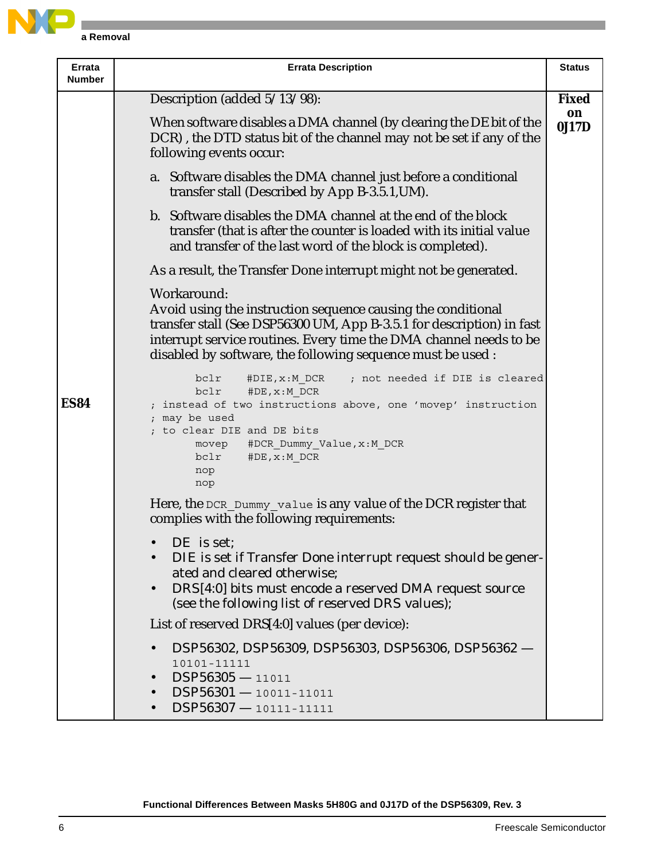

| Errata<br><b>Number</b> | <b>Errata Description</b>                                                                                                                                                                                                                                                                 |              |  |  |  |  |  |  |
|-------------------------|-------------------------------------------------------------------------------------------------------------------------------------------------------------------------------------------------------------------------------------------------------------------------------------------|--------------|--|--|--|--|--|--|
|                         | Description (added 5/13/98):                                                                                                                                                                                                                                                              | <b>Fixed</b> |  |  |  |  |  |  |
|                         | When software disables a DMA channel (by clearing the DE bit of the<br>DCR), the DTD status bit of the channel may not be set if any of the<br>following events occur:                                                                                                                    | on<br>0J17D  |  |  |  |  |  |  |
|                         | a. Software disables the DMA channel just before a conditional<br>transfer stall (Described by App B-3.5.1, UM).                                                                                                                                                                          |              |  |  |  |  |  |  |
|                         | b. Software disables the DMA channel at the end of the block<br>transfer (that is after the counter is loaded with its initial value<br>and transfer of the last word of the block is completed).                                                                                         |              |  |  |  |  |  |  |
|                         | As a result, the Transfer Done interrupt might not be generated.                                                                                                                                                                                                                          |              |  |  |  |  |  |  |
|                         | Workaround:<br>Avoid using the instruction sequence causing the conditional<br>transfer stall (See DSP56300 UM, App B-3.5.1 for description) in fast<br>interrupt service routines. Every time the DMA channel needs to be<br>disabled by software, the following sequence must be used : |              |  |  |  |  |  |  |
| <b>ES84</b>             | bclr<br>; not needed if DIE is cleared<br>#DIE, x:M DCR<br>bclr<br>#DE, x: M DCR<br>; instead of two instructions above, one 'movep' instruction<br>; may be used<br>; to clear DIE and DE bits<br>movep<br>#DCR Dummy Value, x:M DCR<br>#DE, x: M_DCR<br>bclr<br>nop<br>nop              |              |  |  |  |  |  |  |
|                         | Here, the DCR_Dummy_value is any value of the DCR register that<br>complies with the following requirements:                                                                                                                                                                              |              |  |  |  |  |  |  |
|                         | DE is set;<br>DIE is set if Transfer Done interrupt request should be gener-<br>ated and cleared otherwise;<br>DRS[4:0] bits must encode a reserved DMA request source<br>$\bullet$<br>(see the following list of reserved DRS values);                                                   |              |  |  |  |  |  |  |
|                         | List of reserved DRS[4:0] values (per device):                                                                                                                                                                                                                                            |              |  |  |  |  |  |  |
|                         | DSP56302, DSP56309, DSP56303, DSP56306, DSP56362 -<br>10101-11111<br>$DSP56305 - 11011$<br>$\bullet$<br>$DSP56301 - 10011 - 11011$<br>$\bullet$<br>$DSP56307 - 10111 - 11111$                                                                                                             |              |  |  |  |  |  |  |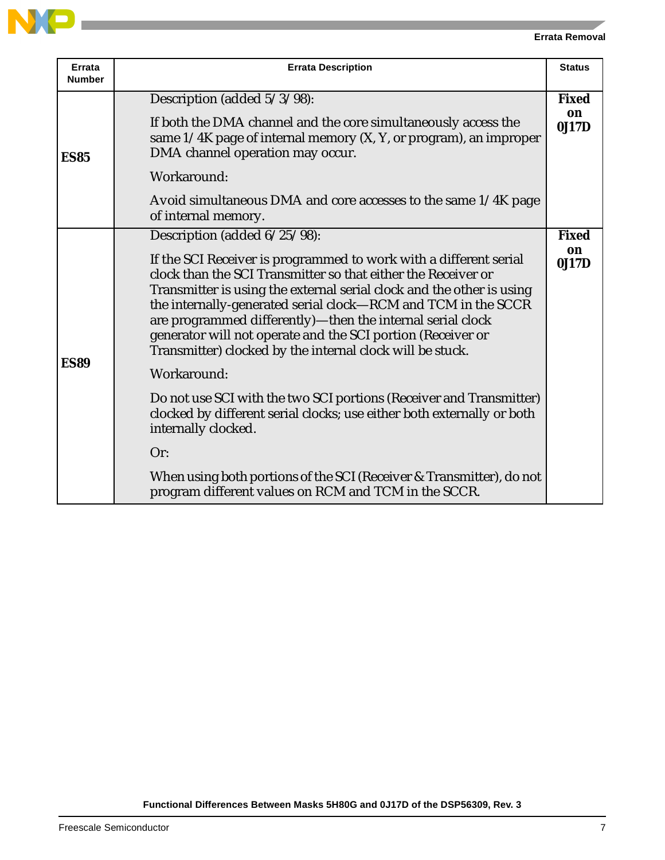| Errata<br><b>Number</b> | <b>Errata Description</b>                                                                                                                                                                                                                                                                                                                                                                                                                                                                                                                                                                                                                                                                                                                                                                                                            | <b>Status</b>               |
|-------------------------|--------------------------------------------------------------------------------------------------------------------------------------------------------------------------------------------------------------------------------------------------------------------------------------------------------------------------------------------------------------------------------------------------------------------------------------------------------------------------------------------------------------------------------------------------------------------------------------------------------------------------------------------------------------------------------------------------------------------------------------------------------------------------------------------------------------------------------------|-----------------------------|
| <b>ES85</b>             | Description (added 5/3/98):<br>If both the DMA channel and the core simultaneously access the<br>same 1/4K page of internal memory (X, Y, or program), an improper<br>DMA channel operation may occur.<br>Workaround:<br>Avoid simultaneous DMA and core accesses to the same 1/4K page<br>of internal memory.                                                                                                                                                                                                                                                                                                                                                                                                                                                                                                                       | <b>Fixed</b><br>on<br>0J17D |
| <b>ES89</b>             | Description (added 6/25/98):<br>If the SCI Receiver is programmed to work with a different serial<br>clock than the SCI Transmitter so that either the Receiver or<br>Transmitter is using the external serial clock and the other is using<br>the internally-generated serial clock—RCM and TCM in the SCCR<br>are programmed differently)-then the internal serial clock<br>generator will not operate and the SCI portion (Receiver or<br>Transmitter) clocked by the internal clock will be stuck.<br>Workaround:<br>Do not use SCI with the two SCI portions (Receiver and Transmitter)<br>clocked by different serial clocks; use either both externally or both<br>internally clocked.<br>Or:<br>When using both portions of the SCI (Receiver & Transmitter), do not<br>program different values on RCM and TCM in the SCCR. | <b>Fixed</b><br>on<br>0J17D |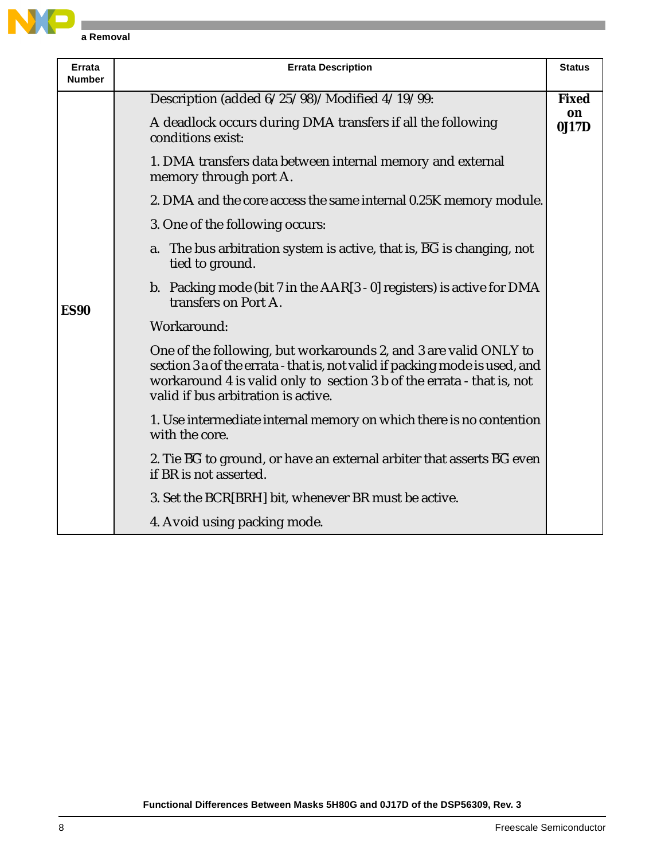

| Errata<br><b>Number</b> | <b>Errata Description</b>                                                                                                                                                                                                                                        | <b>Status</b> |
|-------------------------|------------------------------------------------------------------------------------------------------------------------------------------------------------------------------------------------------------------------------------------------------------------|---------------|
|                         | Description (added 6/25/98)/Modified 4/19/99:                                                                                                                                                                                                                    | <b>Fixed</b>  |
|                         | A deadlock occurs during DMA transfers if all the following<br>conditions exist:                                                                                                                                                                                 | on<br>0J17D   |
|                         | 1. DMA transfers data between internal memory and external<br>memory through port A.                                                                                                                                                                             |               |
|                         | 2. DMA and the core access the same internal 0.25K memory module.                                                                                                                                                                                                |               |
|                         | 3. One of the following occurs:                                                                                                                                                                                                                                  |               |
|                         | a. The bus arbitration system is active, that is, BG is changing, not<br>tied to ground.                                                                                                                                                                         |               |
| <b>ES90</b>             | b. Packing mode (bit $7$ in the $AAR[3 - 0]$ registers) is active for DMA<br>transfers on Port A.                                                                                                                                                                |               |
|                         | Workaround:                                                                                                                                                                                                                                                      |               |
|                         | One of the following, but workarounds 2, and 3 are valid ONLY to<br>section 3 a of the errata - that is, not valid if packing mode is used, and<br>workaround 4 is valid only to section 3 b of the errata - that is, not<br>valid if bus arbitration is active. |               |
|                         | 1. Use intermediate internal memory on which there is no contention<br>with the core.                                                                                                                                                                            |               |
|                         | 2. Tie $\overline{BG}$ to ground, or have an external arbiter that asserts $\overline{BG}$ even<br>if BR is not asserted.                                                                                                                                        |               |
|                         | 3. Set the BCR[BRH] bit, whenever BR must be active.                                                                                                                                                                                                             |               |
|                         | 4. Avoid using packing mode.                                                                                                                                                                                                                                     |               |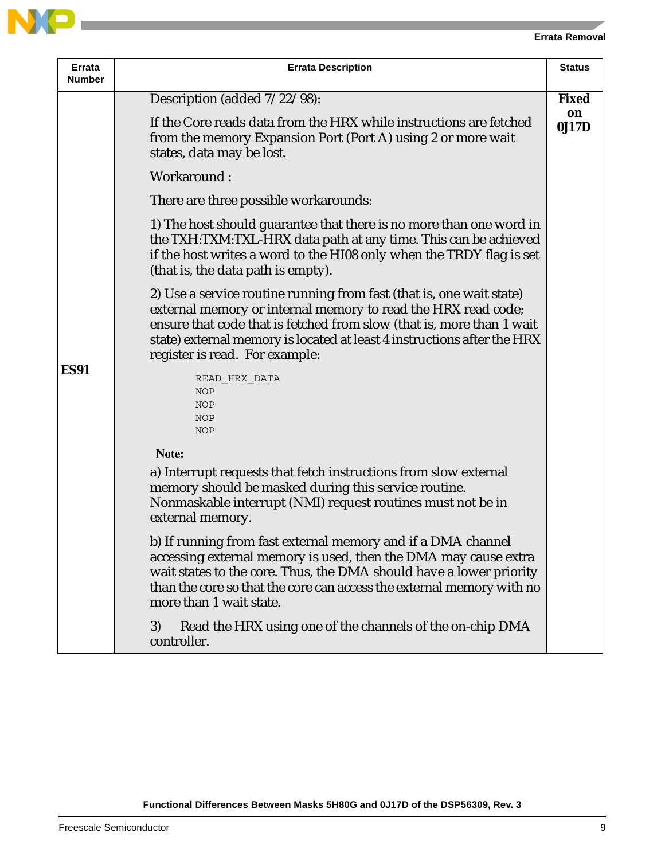| Errata<br><b>Number</b> | <b>Errata Description</b>                                                                                                                                                                                                                                                                                                   |              |  |
|-------------------------|-----------------------------------------------------------------------------------------------------------------------------------------------------------------------------------------------------------------------------------------------------------------------------------------------------------------------------|--------------|--|
|                         | Description (added $7/22/98$ ):                                                                                                                                                                                                                                                                                             | <b>Fixed</b> |  |
|                         | If the Core reads data from the HRX while instructions are fetched<br>from the memory Expansion Port (Port A) using 2 or more wait<br>states, data may be lost.                                                                                                                                                             | on<br>0J17D  |  |
|                         | Workaround:                                                                                                                                                                                                                                                                                                                 |              |  |
|                         | There are three possible workarounds:                                                                                                                                                                                                                                                                                       |              |  |
|                         | 1) The host should guarantee that there is no more than one word in<br>the TXH:TXM:TXL-HRX data path at any time. This can be achieved<br>if the host writes a word to the HI08 only when the TRDY flag is set<br>(that is, the data path is empty).                                                                        |              |  |
|                         | 2) Use a service routine running from fast (that is, one wait state)<br>external memory or internal memory to read the HRX read code;<br>ensure that code that is fetched from slow (that is, more than 1 wait<br>state) external memory is located at least 4 instructions after the HRX<br>register is read. For example: |              |  |
| <b>ES91</b>             | READ HRX DATA<br><b>NOP</b><br><b>NOP</b><br><b>NOP</b><br><b>NOP</b>                                                                                                                                                                                                                                                       |              |  |
|                         | Note:                                                                                                                                                                                                                                                                                                                       |              |  |
|                         | a) Interrupt requests that fetch instructions from slow external<br>memory should be masked during this service routine.<br>Nonmaskable interrupt (NMI) request routines must not be in<br>external memory.                                                                                                                 |              |  |
|                         | b) If running from fast external memory and if a DMA channel<br>accessing external memory is used, then the DMA may cause extra<br>wait states to the core. Thus, the DMA should have a lower priority<br>than the core so that the core can access the external memory with no<br>more than 1 wait state.                  |              |  |
|                         | 3)<br>Read the HRX using one of the channels of the on-chip DMA<br>controller.                                                                                                                                                                                                                                              |              |  |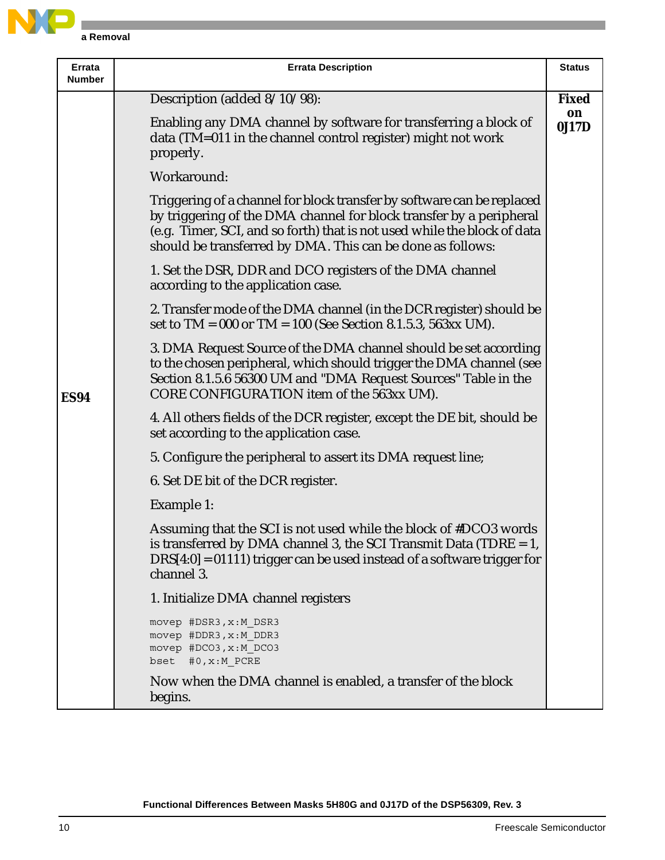

| Errata<br><b>Number</b> | <b>Errata Description</b>                                                                                                                                                                                                                                                               | <b>Status</b> |
|-------------------------|-----------------------------------------------------------------------------------------------------------------------------------------------------------------------------------------------------------------------------------------------------------------------------------------|---------------|
|                         | Description (added 8/10/98):                                                                                                                                                                                                                                                            | <b>Fixed</b>  |
|                         | Enabling any DMA channel by software for transferring a block of<br>data (TM=011 in the channel control register) might not work<br>properly.                                                                                                                                           | on<br>0J17D   |
|                         | Workaround:                                                                                                                                                                                                                                                                             |               |
|                         | Triggering of a channel for block transfer by software can be replaced<br>by triggering of the DMA channel for block transfer by a peripheral<br>(e.g. Timer, SCI, and so forth) that is not used while the block of data<br>should be transferred by DMA. This can be done as follows: |               |
|                         | 1. Set the DSR, DDR and DCO registers of the DMA channel<br>according to the application case.                                                                                                                                                                                          |               |
|                         | 2. Transfer mode of the DMA channel (in the DCR register) should be<br>set to $TM = 000$ or $TM = 100$ (See Section 8.1.5.3, 563xx UM).                                                                                                                                                 |               |
| <b>ES94</b>             | 3. DMA Request Source of the DMA channel should be set according<br>to the chosen peripheral, which should trigger the DMA channel (see<br>Section 8.1.5.6 56300 UM and "DMA Request Sources" Table in the<br>CORE CONFIGURATION item of the 563xx UM).                                 |               |
|                         | 4. All others fields of the DCR register, except the DE bit, should be<br>set according to the application case.                                                                                                                                                                        |               |
|                         | 5. Configure the peripheral to assert its DMA request line;                                                                                                                                                                                                                             |               |
|                         | 6. Set DE bit of the DCR register.                                                                                                                                                                                                                                                      |               |
|                         | Example 1:                                                                                                                                                                                                                                                                              |               |
|                         | Assuming that the SCI is not used while the block of #DCO3 words<br>is transferred by DMA channel 3, the SCI Transmit Data (TDRE $= 1$ ,<br>$DRS[4:0] = 01111$ ) trigger can be used instead of a software trigger for<br>channel 3.                                                    |               |
|                         | 1. Initialize DMA channel registers                                                                                                                                                                                                                                                     |               |
|                         | movep #DSR3, x:M DSR3<br>movep #DDR3, x:M DDR3<br>movep #DCO3, x:M DCO3<br>bset #0, x: M PCRE                                                                                                                                                                                           |               |
|                         | Now when the DMA channel is enabled, a transfer of the block<br>begins.                                                                                                                                                                                                                 |               |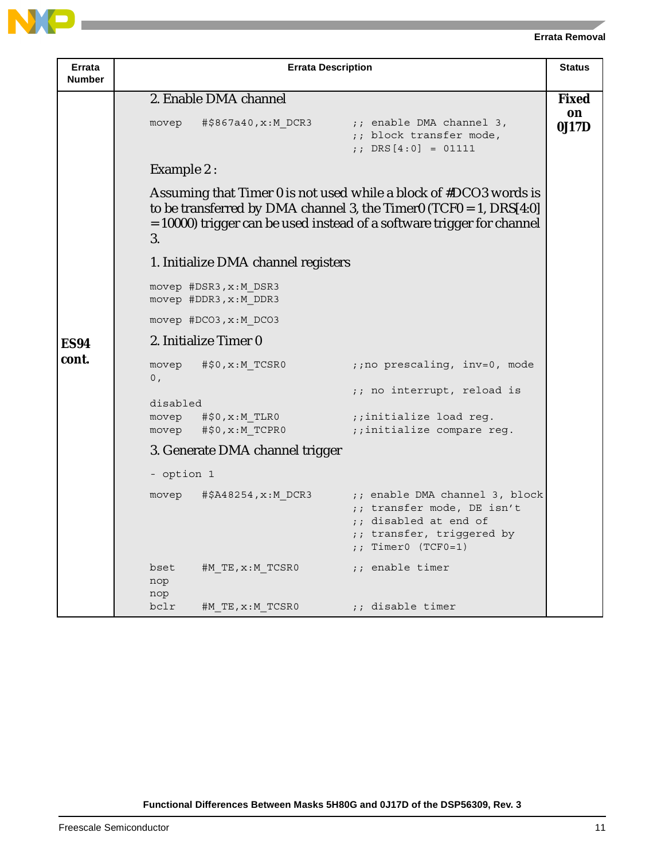| Errata<br><b>Number</b> | <b>Errata Description</b>                                                                                                                                                                                                 |              |  |  |  |
|-------------------------|---------------------------------------------------------------------------------------------------------------------------------------------------------------------------------------------------------------------------|--------------|--|--|--|
|                         | 2. Enable DMA channel                                                                                                                                                                                                     | <b>Fixed</b> |  |  |  |
|                         | ;; enable DMA channel 3,<br>#\$867a40,x:M DCR3<br>movep<br>;; block transfer mode,<br>;; DRS $[4:0] = 01111$                                                                                                              | on<br>0J17D  |  |  |  |
|                         | <b>Example 2:</b>                                                                                                                                                                                                         |              |  |  |  |
|                         | Assuming that Timer 0 is not used while a block of #DCO3 words is<br>to be transferred by DMA channel 3, the Timer0 (TCF0 = 1, $DRS[4:0]$<br>= 10000) trigger can be used instead of a software trigger for channel<br>3. |              |  |  |  |
|                         | 1. Initialize DMA channel registers                                                                                                                                                                                       |              |  |  |  |
|                         | movep #DSR3, x:M DSR3<br>movep #DDR3, x:M DDR3                                                                                                                                                                            |              |  |  |  |
|                         | movep #DCO3, x:M DCO3                                                                                                                                                                                                     |              |  |  |  |
| <b>ES94</b>             | 2. Initialize Timer 0                                                                                                                                                                                                     |              |  |  |  |
| cont.                   | ;; no prescaling, inv=0, mode<br>#\$0,x:M TCSR0<br>movep<br>0,                                                                                                                                                            |              |  |  |  |
|                         | ;; no interrupt, reload is<br>disabled                                                                                                                                                                                    |              |  |  |  |
|                         | $movep$ $\#$0, x:M$ $TLR0$<br>;;initialize load reg.<br>movep #\$0,x:M_TCPR0<br>;;initialize compare reg.                                                                                                                 |              |  |  |  |
|                         | 3. Generate DMA channel trigger                                                                                                                                                                                           |              |  |  |  |
|                         | - option 1                                                                                                                                                                                                                |              |  |  |  |
|                         | #\$A48254, x: M DCR3<br>;; enable DMA channel 3, block<br>movep<br>;; transfer mode, DE isn't<br>;; disabled at end of<br>;; transfer, triggered by<br>$:$ Timer0 (TCF0=1)                                                |              |  |  |  |
|                         | ;; enable timer<br>bset<br>#M TE,x:M TCSR0<br>nop<br>nop                                                                                                                                                                  |              |  |  |  |
|                         | ;; disable timer<br>bclr<br>#M TE,x:M TCSR0                                                                                                                                                                               |              |  |  |  |

**Functional Differences Between Masks 5H80G and 0J17D of the DSP56309, Rev. 3**

N

 $\Box$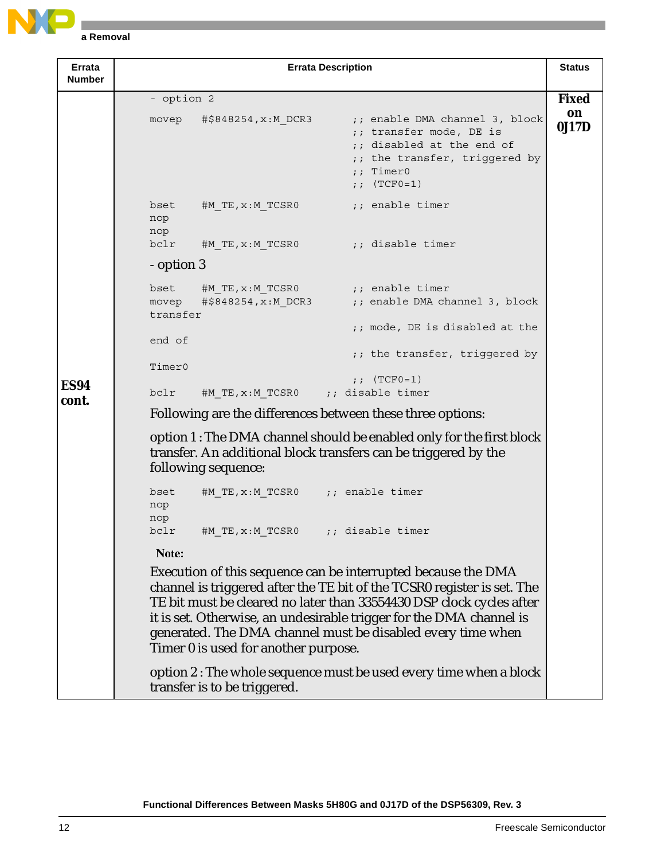

| Errata<br><b>Number</b> | <b>Errata Description</b>                                                                                                                                                                                                                                                                                                                                                                      | <b>Status</b> |  |  |  |
|-------------------------|------------------------------------------------------------------------------------------------------------------------------------------------------------------------------------------------------------------------------------------------------------------------------------------------------------------------------------------------------------------------------------------------|---------------|--|--|--|
|                         | - option 2                                                                                                                                                                                                                                                                                                                                                                                     | <b>Fixed</b>  |  |  |  |
|                         | #\$848254,x:M DCR3<br>;; enable DMA channel 3, block<br>movep<br>;; transfer mode, DE is<br>;; disabled at the end of<br>;; the transfer, triggered by<br>$;$ Timer0<br>;; $(TCF0=1)$                                                                                                                                                                                                          | on<br>0J17D   |  |  |  |
|                         | ;; enable timer<br>$#M$ TE, $x : M$ TCSR0<br>bset<br>nop<br>nop                                                                                                                                                                                                                                                                                                                                |               |  |  |  |
|                         | $bc1r$ #M TE, x:M TCSR0<br>era disable timer (; disable timer                                                                                                                                                                                                                                                                                                                                  |               |  |  |  |
|                         | - option 3                                                                                                                                                                                                                                                                                                                                                                                     |               |  |  |  |
|                         | #M TE, $x : M$ TCSR0 $\qquad \qquad ;$ enable timer<br>bset                                                                                                                                                                                                                                                                                                                                    |               |  |  |  |
|                         | $\sharp$ \$848254, x:M DCR3 ;; enable DMA channel 3, block<br>movep<br>transfer                                                                                                                                                                                                                                                                                                                |               |  |  |  |
|                         | ;; mode, DE is disabled at the<br>end of                                                                                                                                                                                                                                                                                                                                                       |               |  |  |  |
|                         | ;; the transfer, triggered by                                                                                                                                                                                                                                                                                                                                                                  |               |  |  |  |
| <b>ES94</b>             | Timer0<br>;; $(TCF0=1)$                                                                                                                                                                                                                                                                                                                                                                        |               |  |  |  |
| cont.                   | #M TE, x: M TCSR0 ;; disable timer<br>bclr                                                                                                                                                                                                                                                                                                                                                     |               |  |  |  |
|                         | Following are the differences between these three options:                                                                                                                                                                                                                                                                                                                                     |               |  |  |  |
|                         | option 1: The DMA channel should be enabled only for the first block<br>transfer. An additional block transfers can be triggered by the<br>following sequence:                                                                                                                                                                                                                                 |               |  |  |  |
|                         | #M TE, x: M TCSR0 ;; enable timer<br>bset<br>nop<br>nop                                                                                                                                                                                                                                                                                                                                        |               |  |  |  |
|                         | bclr<br>#M TE, $x : M$ TCSR0 ;; disable timer                                                                                                                                                                                                                                                                                                                                                  |               |  |  |  |
|                         | Note:                                                                                                                                                                                                                                                                                                                                                                                          |               |  |  |  |
|                         | Execution of this sequence can be interrupted because the DMA<br>channel is triggered after the TE bit of the TCSR0 register is set. The<br>TE bit must be cleared no later than 33554430 DSP clock cycles after<br>it is set. Otherwise, an undesirable trigger for the DMA channel is<br>generated. The DMA channel must be disabled every time when<br>Timer 0 is used for another purpose. |               |  |  |  |
|                         | option 2 : The whole sequence must be used every time when a block<br>transfer is to be triggered.                                                                                                                                                                                                                                                                                             |               |  |  |  |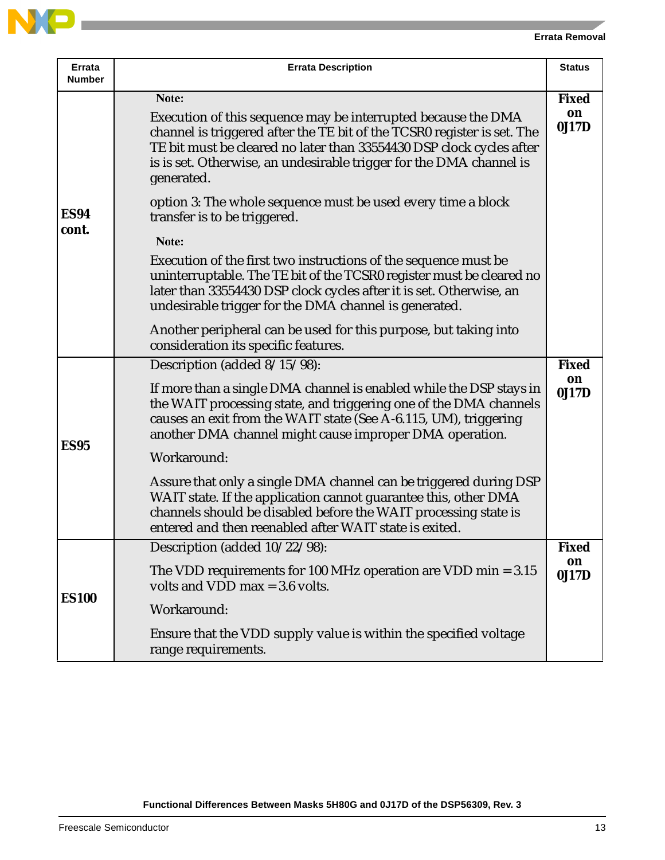| Errata<br><b>Number</b> | <b>Errata Description</b>                                                                                                                                                                                                                                                                                      | <b>Status</b>               |
|-------------------------|----------------------------------------------------------------------------------------------------------------------------------------------------------------------------------------------------------------------------------------------------------------------------------------------------------------|-----------------------------|
|                         | Note:<br>Execution of this sequence may be interrupted because the DMA<br>channel is triggered after the TE bit of the TCSR0 register is set. The<br>TE bit must be cleared no later than 33554430 DSP clock cycles after<br>is is set. Otherwise, an undesirable trigger for the DMA channel is<br>generated. | <b>Fixed</b><br>on<br>0J17D |
| <b>ES94</b><br>cont.    | option 3: The whole sequence must be used every time a block<br>transfer is to be triggered.                                                                                                                                                                                                                   |                             |
|                         | Note:<br>Execution of the first two instructions of the sequence must be<br>uninterruptable. The TE bit of the TCSR0 register must be cleared no<br>later than 33554430 DSP clock cycles after it is set. Otherwise, an<br>undesirable trigger for the DMA channel is generated.                               |                             |
|                         | Another peripheral can be used for this purpose, but taking into<br>consideration its specific features.                                                                                                                                                                                                       |                             |
|                         | Description (added 8/15/98):                                                                                                                                                                                                                                                                                   | <b>Fixed</b>                |
| <b>ES95</b>             | If more than a single DMA channel is enabled while the DSP stays in<br>the WAIT processing state, and triggering one of the DMA channels<br>causes an exit from the WAIT state (See A-6.115, UM), triggering<br>another DMA channel might cause improper DMA operation.                                        | on<br>0J17D                 |
|                         | Workaround:                                                                                                                                                                                                                                                                                                    |                             |
|                         | Assure that only a single DMA channel can be triggered during DSP<br>WAIT state. If the application cannot guarantee this, other DMA<br>channels should be disabled before the WAIT processing state is<br>entered and then reenabled after WAIT state is exited.                                              |                             |
|                         | Description (added 10/22/98):                                                                                                                                                                                                                                                                                  | <b>Fixed</b>                |
| <b>ES100</b>            | The VDD requirements for 100 MHz operation are VDD min $= 3.15$<br>volts and VDD max $=$ 3.6 volts.                                                                                                                                                                                                            | on<br>0J17D                 |
|                         | Workaround:                                                                                                                                                                                                                                                                                                    |                             |
|                         | Ensure that the VDD supply value is within the specified voltage<br>range requirements.                                                                                                                                                                                                                        |                             |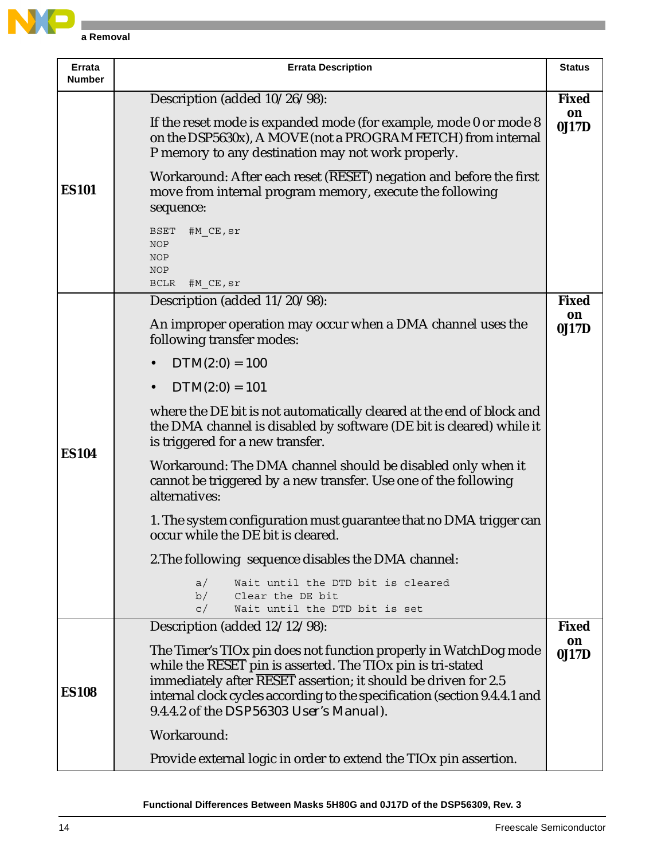

| Errata<br>Number | <b>Errata Description</b>                                                                                                                                                                                                                                                                                                         | <b>Status</b> |  |
|------------------|-----------------------------------------------------------------------------------------------------------------------------------------------------------------------------------------------------------------------------------------------------------------------------------------------------------------------------------|---------------|--|
|                  | Description (added 10/26/98):                                                                                                                                                                                                                                                                                                     | <b>Fixed</b>  |  |
| <b>ES101</b>     | If the reset mode is expanded mode (for example, mode 0 or mode 8<br>on the DSP5630x), A MOVE (not a PROGRAM FETCH) from internal<br>P memory to any destination may not work properly.                                                                                                                                           | on<br>0J17D   |  |
|                  | Workaround: After each reset (RESET) negation and before the first<br>move from internal program memory, execute the following<br>sequence:                                                                                                                                                                                       |               |  |
|                  | <b>BSET</b><br>#M CE, sr<br><b>NOP</b><br><b>NOP</b><br><b>NOP</b><br><b>BCLR</b><br>#M CE,sr                                                                                                                                                                                                                                     |               |  |
|                  | Description (added 11/20798):                                                                                                                                                                                                                                                                                                     | <b>Fixed</b>  |  |
|                  | An improper operation may occur when a DMA channel uses the<br>following transfer modes:                                                                                                                                                                                                                                          | on<br>0J17D   |  |
|                  | $DTM(2:0) = 100$                                                                                                                                                                                                                                                                                                                  |               |  |
|                  | $DTM(2:0) = 101$<br>$\bullet$                                                                                                                                                                                                                                                                                                     |               |  |
| <b>ES104</b>     | where the DE bit is not automatically cleared at the end of block and<br>the DMA channel is disabled by software (DE bit is cleared) while it<br>is triggered for a new transfer.                                                                                                                                                 |               |  |
|                  | Workaround: The DMA channel should be disabled only when it<br>cannot be triggered by a new transfer. Use one of the following<br>alternatives:                                                                                                                                                                                   |               |  |
|                  | 1. The system configuration must guarantee that no DMA trigger can<br>occur while the DE bit is cleared.                                                                                                                                                                                                                          |               |  |
|                  | 2. The following sequence disables the DMA channel:                                                                                                                                                                                                                                                                               |               |  |
|                  | Wait until the DTD bit is cleared<br>a/<br>b/<br>Clear the DE bit<br>Wait until the DTD bit is set<br>C/                                                                                                                                                                                                                          |               |  |
|                  | Description (added 12/12/98):                                                                                                                                                                                                                                                                                                     | <b>Fixed</b>  |  |
| <b>ES108</b>     | The Timer's TIOx pin does not function properly in WatchDog mode<br>while the RESET pin is asserted. The TIOx pin is tri-stated<br>immediately after RESET assertion; it should be driven for 2.5<br>internal clock cycles according to the specification (section 9.4.4.1 and<br>9.4.4.2 of the <i>DSP56303 User's Manual</i> ). | on<br>0J17D   |  |
|                  | Workaround:                                                                                                                                                                                                                                                                                                                       |               |  |
|                  | Provide external logic in order to extend the TIO <sub>x</sub> pin assertion.                                                                                                                                                                                                                                                     |               |  |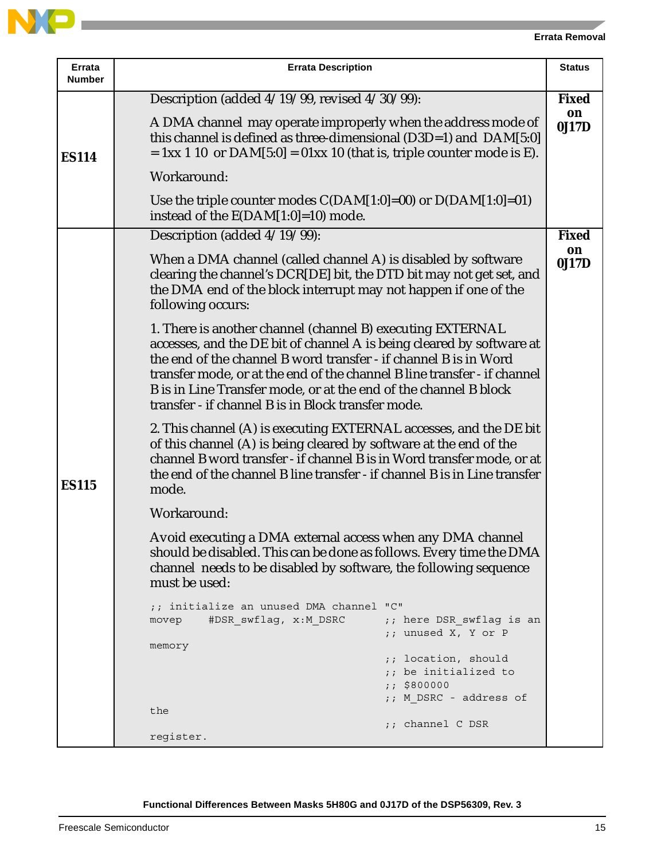| Errata<br>Number | <b>Errata Description</b>                                                                                                                                                                                                                                                                                                                                                                                     |              |  |  |
|------------------|---------------------------------------------------------------------------------------------------------------------------------------------------------------------------------------------------------------------------------------------------------------------------------------------------------------------------------------------------------------------------------------------------------------|--------------|--|--|
|                  | Description (added 4/19/99, revised 4/30/99):                                                                                                                                                                                                                                                                                                                                                                 | <b>Fixed</b> |  |  |
| <b>ES114</b>     | A DMA channel may operate improperly when the address mode of<br>this channel is defined as three-dimensional (D3D=1) and DAM[5:0]<br>$= 1xx 1 10$ or $DAM[5:0] = 01xx 10$ (that is, triple counter mode is E).                                                                                                                                                                                               | on<br>0J17D  |  |  |
|                  | Workaround:                                                                                                                                                                                                                                                                                                                                                                                                   |              |  |  |
|                  | Use the triple counter modes $C(DAM[1:0]=00)$ or $D(DAM[1:0]=01)$<br>instead of the $E(DAM[1:0]=10)$ mode.                                                                                                                                                                                                                                                                                                    |              |  |  |
|                  | Description (added 4/19/99):                                                                                                                                                                                                                                                                                                                                                                                  | <b>Fixed</b> |  |  |
|                  | When a DMA channel (called channel A) is disabled by software<br>clearing the channel's DCR[DE] bit, the DTD bit may not get set, and<br>the DMA end of the block interrupt may not happen if one of the<br>following occurs:                                                                                                                                                                                 | on<br>0J17D  |  |  |
| <b>ES115</b>     | 1. There is another channel (channel B) executing EXTERNAL<br>accesses, and the DE bit of channel A is being cleared by software at<br>the end of the channel B word transfer - if channel B is in Word<br>transfer mode, or at the end of the channel B line transfer - if channel<br>B is in Line Transfer mode, or at the end of the channel B block<br>transfer - if channel B is in Block transfer mode. |              |  |  |
|                  | 2. This channel (A) is executing EXTERNAL accesses, and the DE bit<br>of this channel (A) is being cleared by software at the end of the<br>channel B word transfer - if channel B is in Word transfer mode, or at<br>the end of the channel B line transfer - if channel B is in Line transfer<br>mode.                                                                                                      |              |  |  |
|                  | Workaround:                                                                                                                                                                                                                                                                                                                                                                                                   |              |  |  |
|                  | Avoid executing a DMA external access when any DMA channel<br>should be disabled. This can be done as follows. Every time the DMA<br>channel needs to be disabled by software, the following sequence<br>must be used:                                                                                                                                                                                        |              |  |  |
|                  | ;; initialize an unused DMA channel "C"<br>#DSR swflag, x:M DSRC<br>;; here DSR swflag is an<br>movep<br>;; unused X, Y or P                                                                                                                                                                                                                                                                                  |              |  |  |
|                  | memory                                                                                                                                                                                                                                                                                                                                                                                                        |              |  |  |
|                  | ;; location, should<br>;; be initialized to                                                                                                                                                                                                                                                                                                                                                                   |              |  |  |
|                  | : 5800000<br>;; M DSRC - address of                                                                                                                                                                                                                                                                                                                                                                           |              |  |  |
|                  | the                                                                                                                                                                                                                                                                                                                                                                                                           |              |  |  |
|                  | ;; channel C DSR<br>register.                                                                                                                                                                                                                                                                                                                                                                                 |              |  |  |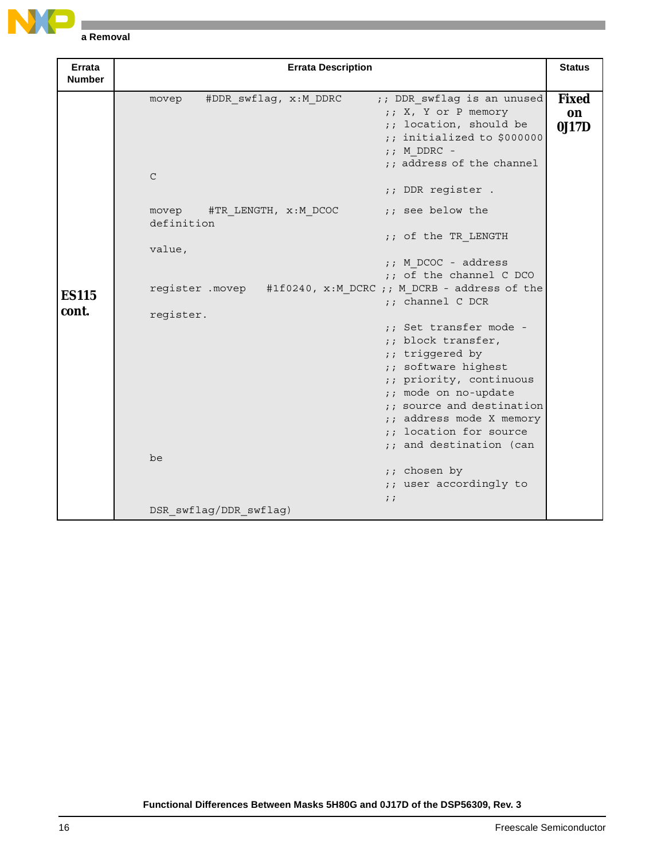

| Errata<br><b>Number</b> | <b>Errata Description</b>                                                                                                                                                                                                                                                                                                        | <b>Status</b>               |
|-------------------------|----------------------------------------------------------------------------------------------------------------------------------------------------------------------------------------------------------------------------------------------------------------------------------------------------------------------------------|-----------------------------|
|                         | #DDR swflag, x:M DDRC<br>;; DDR swflag is an unused<br>movep<br>;; X, Y or P memory<br>;; location, should be<br>;; initialized to \$000000<br>$;$ M DDRC -<br>;; address of the channel<br>$\mathsf{C}$<br>;; DDR register .                                                                                                    | <b>Fixed</b><br>on<br>0J17D |
|                         | ;; see below the<br>#TR LENGTH, x:M DCOC<br>movep<br>definition                                                                                                                                                                                                                                                                  |                             |
|                         | ;; of the TR LENGTH<br>value,                                                                                                                                                                                                                                                                                                    |                             |
|                         | $;$ M DCOC - address<br>;; of the channel C DCO                                                                                                                                                                                                                                                                                  |                             |
| <b>ES115</b><br>cont.   | register . movep #1f0240, x: M DCRC ;; M DCRB - address of the<br>$:$ channel $C$ DCR                                                                                                                                                                                                                                            |                             |
|                         | register.<br>:: Set transfer mode -<br>;; block transfer,<br>;; triggered by<br>;; software highest<br>;; priority, continuous<br>;; mode on no-update<br>;; source and destination<br>;; address mode X memory<br>;; location for source<br>;; and destination (can<br>be<br>;; chosen by<br>;; user accordingly to<br>$\vdots$ |                             |
|                         | DSR_swflag/DDR_swflag)                                                                                                                                                                                                                                                                                                           |                             |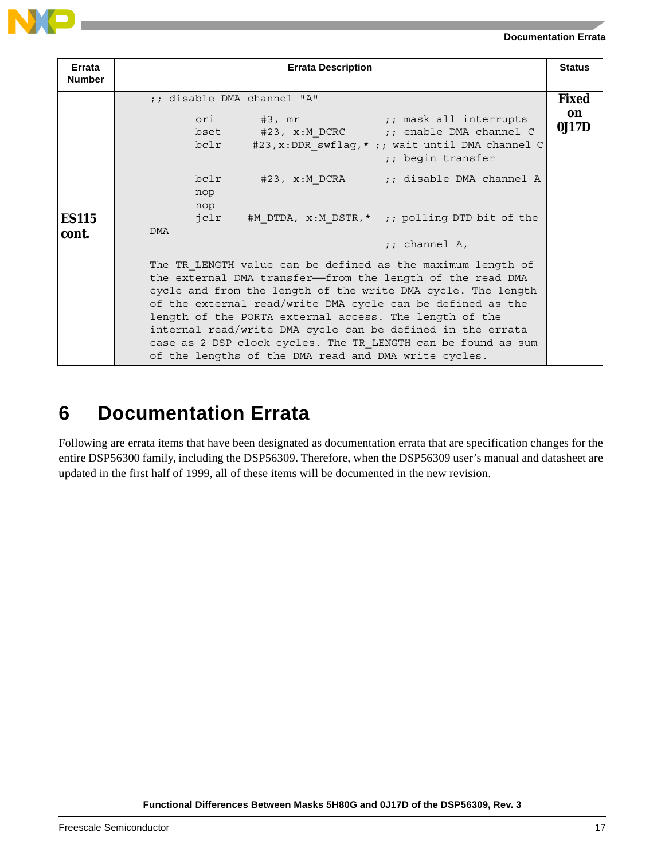### **6 Documentation Errata**

Following are errata items that have been designated as documentation errata that are specification changes for the entire DSP56300 family, including the DSP56309. Therefore, when the DSP56309 user's manual and datasheet are updated in the first half of 1999, all of these items will be documented in the new revision.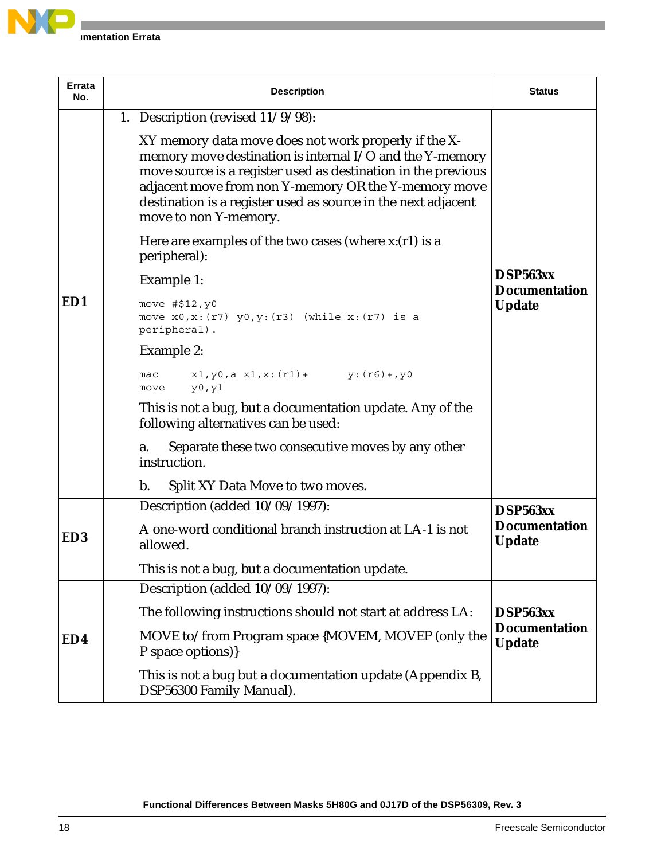

| <b>Errata</b><br>No. | <b>Description</b>                                                                                                                                                                                                                                                                                                                  | <b>Status</b>                         |
|----------------------|-------------------------------------------------------------------------------------------------------------------------------------------------------------------------------------------------------------------------------------------------------------------------------------------------------------------------------------|---------------------------------------|
|                      | 1. Description (revised $11/9/98$ ):                                                                                                                                                                                                                                                                                                |                                       |
|                      | XY memory data move does not work properly if the X-<br>memory move destination is internal I/O and the Y-memory<br>move source is a register used as destination in the previous<br>adjacent move from non Y-memory OR the Y-memory move<br>destination is a register used as source in the next adjacent<br>move to non Y-memory. |                                       |
|                      | Here are examples of the two cases (where $x:(r1)$ is a<br>peripheral):                                                                                                                                                                                                                                                             |                                       |
|                      | Example 1:                                                                                                                                                                                                                                                                                                                          | DSP563xx<br><b>Documentation</b>      |
| ED1                  | move #\$12, y0<br>move $x0, x: (r7)$ $y0, y: (r3)$ (while $x: (r7)$ is a<br>peripheral).                                                                                                                                                                                                                                            | <b>Update</b>                         |
|                      | Example 2:                                                                                                                                                                                                                                                                                                                          |                                       |
|                      | $x1, y0, a x1, x: (r1) + y: (r6) + y0$<br>mac<br>y0, y1<br>move                                                                                                                                                                                                                                                                     |                                       |
|                      | This is not a bug, but a documentation update. Any of the<br>following alternatives can be used:                                                                                                                                                                                                                                    |                                       |
|                      | Separate these two consecutive moves by any other<br>a.<br>instruction.                                                                                                                                                                                                                                                             |                                       |
|                      | $\mathbf{b}$ .<br>Split XY Data Move to two moves.                                                                                                                                                                                                                                                                                  |                                       |
|                      | Description (added 10/09/1997):                                                                                                                                                                                                                                                                                                     | DSP563xx                              |
| ED <sub>3</sub>      | A one-word conditional branch instruction at LA-1 is not<br>allowed.                                                                                                                                                                                                                                                                | <b>Documentation</b><br><b>Update</b> |
|                      | This is not a bug, but a documentation update.                                                                                                                                                                                                                                                                                      |                                       |
|                      | Description (added 10/09/1997):                                                                                                                                                                                                                                                                                                     |                                       |
| ED4                  | The following instructions should not start at address LA:                                                                                                                                                                                                                                                                          | DSP563xx                              |
|                      | MOVE to/from Program space {MOVEM, MOVEP (only the<br>P space options)}                                                                                                                                                                                                                                                             | <b>Documentation</b><br><b>Update</b> |
|                      | This is not a bug but a documentation update (Appendix B,<br>DSP56300 Family Manual).                                                                                                                                                                                                                                               |                                       |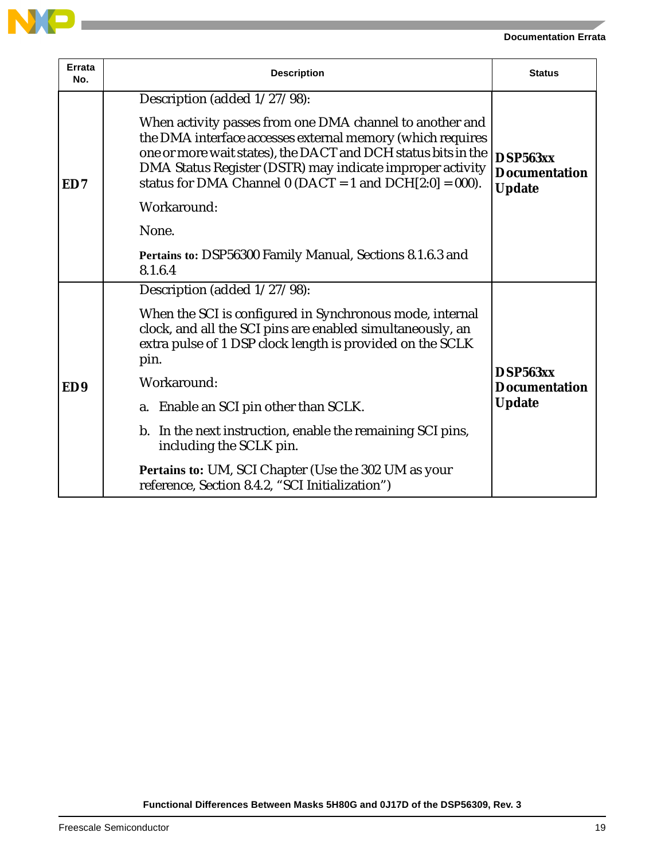

| Errata<br>No.   | <b>Description</b>                                                                                                                                                                                                                                                                                                                                                                                                                                                                      | <b>Status</b>                                     |
|-----------------|-----------------------------------------------------------------------------------------------------------------------------------------------------------------------------------------------------------------------------------------------------------------------------------------------------------------------------------------------------------------------------------------------------------------------------------------------------------------------------------------|---------------------------------------------------|
| ED7             | Description (added 1/27/98):<br>When activity passes from one DMA channel to another and<br>the DMA interface accesses external memory (which requires<br>one or more wait states), the DACT and DCH status bits in the<br>DMA Status Register (DSTR) may indicate improper activity<br>status for DMA Channel $0$ (DACT = 1 and DCH $[2:0] = 000$ ).<br>Workaround:<br>None.<br>Pertains to: DSP56300 Family Manual, Sections 8.1.6.3 and<br>8.1.6.4                                   | DSP563xx<br><b>Documentation</b><br><b>Update</b> |
| ED <sub>9</sub> | Description (added 1/27/98):<br>When the SCI is configured in Synchronous mode, internal<br>clock, and all the SCI pins are enabled simultaneously, an<br>extra pulse of 1 DSP clock length is provided on the SCLK<br>pin.<br>Workaround:<br>a. Enable an SCI pin other than SCLK.<br>b. In the next instruction, enable the remaining SCI pins,<br>including the SCLK pin.<br>Pertains to: UM, SCI Chapter (Use the 302 UM as your<br>reference, Section 8.4.2, "SCI Initialization") | DSP563xx<br><b>Documentation</b><br><b>Update</b> |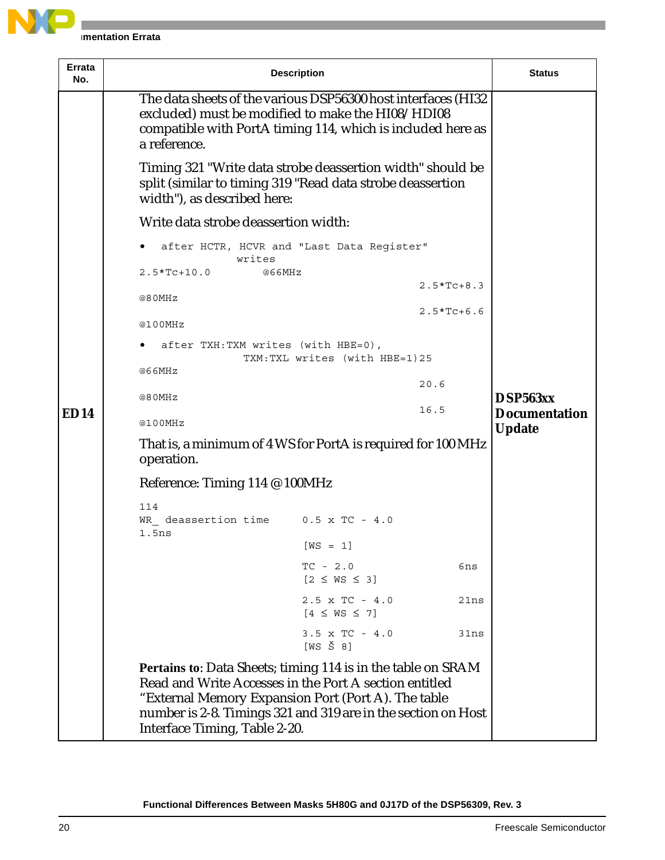

| Errata<br>No. |                                                                                                                                                                                                   | <b>Description</b>                                                                                                                                                                                                                             |              | <b>Status</b>                    |  |
|---------------|---------------------------------------------------------------------------------------------------------------------------------------------------------------------------------------------------|------------------------------------------------------------------------------------------------------------------------------------------------------------------------------------------------------------------------------------------------|--------------|----------------------------------|--|
|               | The data sheets of the various DSP56300 host interfaces (HI32<br>excluded) must be modified to make the HI08/HDI08<br>compatible with PortA timing 114, which is included here as<br>a reference. |                                                                                                                                                                                                                                                |              |                                  |  |
|               | Timing 321 "Write data strobe deassertion width" should be<br>split (similar to timing 319 "Read data strobe deassertion<br>width"), as described here:                                           |                                                                                                                                                                                                                                                |              |                                  |  |
|               | Write data strobe deassertion width:                                                                                                                                                              |                                                                                                                                                                                                                                                |              |                                  |  |
|               | after HCTR, HCVR and "Last Data Register"<br>writes                                                                                                                                               |                                                                                                                                                                                                                                                |              |                                  |  |
|               | $2.5*Tc+10.0$<br>@66MHz                                                                                                                                                                           |                                                                                                                                                                                                                                                | $2.5*TC+8.3$ |                                  |  |
|               | @80MHz                                                                                                                                                                                            |                                                                                                                                                                                                                                                | $2.5*Tc+6.6$ |                                  |  |
|               | @100MHz                                                                                                                                                                                           |                                                                                                                                                                                                                                                |              |                                  |  |
|               | after TXH: TXM writes (with HBE=0),<br>TXM: TXL writes (with HBE=1)25                                                                                                                             |                                                                                                                                                                                                                                                |              |                                  |  |
|               | @66MHz                                                                                                                                                                                            |                                                                                                                                                                                                                                                | 20.6         |                                  |  |
| <b>ED14</b>   | @80MHz                                                                                                                                                                                            | 16.5                                                                                                                                                                                                                                           |              | DSP563xx<br><b>Documentation</b> |  |
|               | @100MHz                                                                                                                                                                                           | <b>Update</b>                                                                                                                                                                                                                                  |              |                                  |  |
|               | That is, a minimum of 4 WS for PortA is required for 100 MHz<br>operation.                                                                                                                        |                                                                                                                                                                                                                                                |              |                                  |  |
|               | Reference: Timing 114 @ 100MHz                                                                                                                                                                    |                                                                                                                                                                                                                                                |              |                                  |  |
|               | 114<br>WR deassertion time $0.5 \times TC - 4.0$<br>1.5ns                                                                                                                                         |                                                                                                                                                                                                                                                |              |                                  |  |
|               |                                                                                                                                                                                                   | $[WS = 1]$                                                                                                                                                                                                                                     |              |                                  |  |
|               |                                                                                                                                                                                                   | $TC - 2.0$<br>$[2 \leq W S \leq 3]$                                                                                                                                                                                                            | 6ns          |                                  |  |
|               |                                                                                                                                                                                                   | $2.5 \times TC - 4.0$<br>$[4 \leq W S \leq 7]$                                                                                                                                                                                                 | 21ns         |                                  |  |
|               |                                                                                                                                                                                                   | $3.5 \times TC - 4.0$<br>$[WS \ S 8]$                                                                                                                                                                                                          | 31ns         |                                  |  |
|               | Interface Timing, Table 2-20.                                                                                                                                                                     | Pertains to: Data Sheets; timing 114 is in the table on SRAM<br>Read and Write Accesses in the Port A section entitled<br>"External Memory Expansion Port (Port A). The table<br>number is 2-8. Timings 321 and 319 are in the section on Host |              |                                  |  |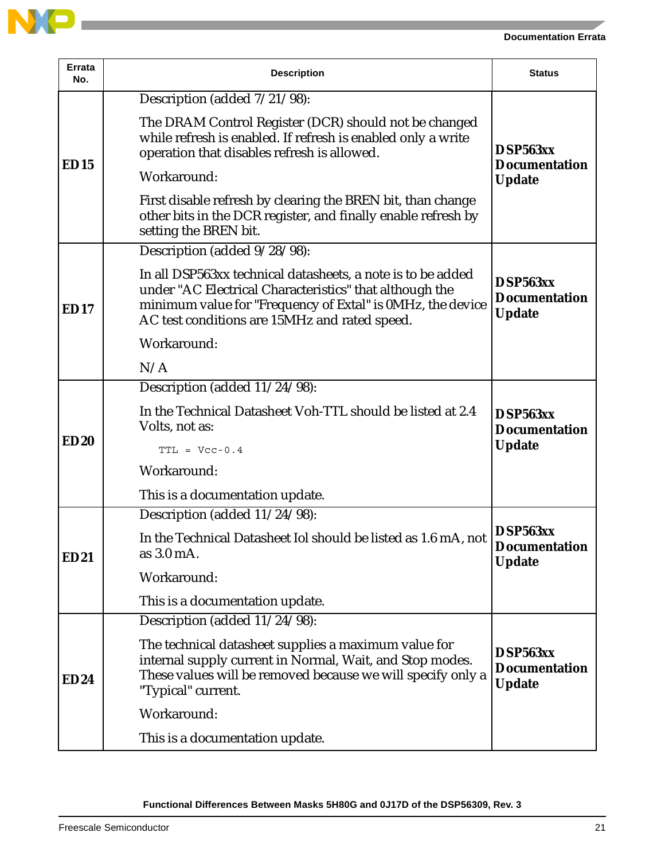

| <b>Errata</b><br>No. | <b>Description</b>                                                                                                                                                                                                                    | <b>Status</b>                                     |
|----------------------|---------------------------------------------------------------------------------------------------------------------------------------------------------------------------------------------------------------------------------------|---------------------------------------------------|
| <b>ED15</b>          | Description (added 7/21/98):                                                                                                                                                                                                          |                                                   |
|                      | The DRAM Control Register (DCR) should not be changed<br>while refresh is enabled. If refresh is enabled only a write<br>operation that disables refresh is allowed.<br>Workaround:                                                   | DSP563xx<br><b>Documentation</b><br><b>Update</b> |
|                      | First disable refresh by clearing the BREN bit, than change<br>other bits in the DCR register, and finally enable refresh by<br>setting the BREN bit.                                                                                 |                                                   |
|                      | Description (added 9/28/98):                                                                                                                                                                                                          |                                                   |
| <b>ED17</b>          | In all DSP563xx technical datasheets, a note is to be added<br>under "AC Electrical Characteristics" that although the<br>minimum value for "Frequency of Extal" is 0MHz, the device<br>AC test conditions are 15MHz and rated speed. | DSP563xx<br><b>Documentation</b><br><b>Update</b> |
|                      | Workaround:                                                                                                                                                                                                                           |                                                   |
|                      | N/A                                                                                                                                                                                                                                   |                                                   |
|                      | Description (added 11/24/98):                                                                                                                                                                                                         |                                                   |
|                      | In the Technical Datasheet Voh-TTL should be listed at 2.4<br>Volts, not as:                                                                                                                                                          | DSP563xx<br><b>Documentation</b>                  |
| <b>ED20</b>          | $TTL = Vcc-0.4$                                                                                                                                                                                                                       | <b>Update</b>                                     |
|                      | Workaround:                                                                                                                                                                                                                           |                                                   |
|                      | This is a documentation update.                                                                                                                                                                                                       |                                                   |
|                      | Description (added 11/24/98):                                                                                                                                                                                                         |                                                   |
| <b>ED21</b>          | In the Technical Datasheet Iol should be listed as 1.6 mA, not<br>as 3.0 mA.                                                                                                                                                          | DSP563xx<br><b>Documentation</b><br><b>Update</b> |
|                      | Workaround:                                                                                                                                                                                                                           |                                                   |
|                      | This is a documentation update.                                                                                                                                                                                                       |                                                   |
|                      | Description (added 11/24/98):                                                                                                                                                                                                         |                                                   |
| <b>ED24</b>          | The technical datasheet supplies a maximum value for<br>internal supply current in Normal, Wait, and Stop modes.<br>These values will be removed because we will specify only a<br>"Typical" current.                                 | DSP563xx<br><b>Documentation</b><br><b>Update</b> |
|                      | Workaround:                                                                                                                                                                                                                           |                                                   |
|                      | This is a documentation update.                                                                                                                                                                                                       |                                                   |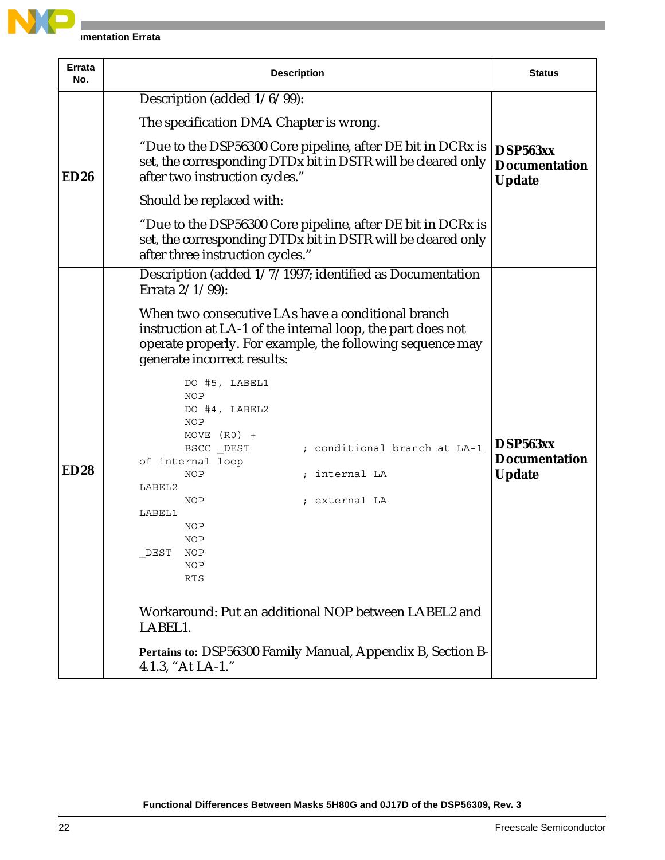

| Errata<br>No. | <b>Description</b>                                                                                                                                              | <b>Status</b>                                     |
|---------------|-----------------------------------------------------------------------------------------------------------------------------------------------------------------|---------------------------------------------------|
|               | Description (added 1/6/99):                                                                                                                                     |                                                   |
|               | The specification DMA Chapter is wrong.                                                                                                                         |                                                   |
| ED26          | "Due to the DSP56300 Core pipeline, after DE bit in DCRx is<br>set, the corresponding DTDx bit in DSTR will be cleared only<br>after two instruction cycles."   | DSP563xx<br><b>Documentation</b><br><b>Update</b> |
|               | Should be replaced with:                                                                                                                                        |                                                   |
|               | "Due to the DSP56300 Core pipeline, after DE bit in DCRx is<br>set, the corresponding DTDx bit in DSTR will be cleared only<br>after three instruction cycles." |                                                   |
|               | Description (added 1/7/1997; identified as Documentation                                                                                                        |                                                   |
|               | Errata 2/1/99):                                                                                                                                                 |                                                   |
|               | When two consecutive LAs have a conditional branch<br>instruction at LA-1 of the internal loop, the part does not                                               |                                                   |
|               | operate properly. For example, the following sequence may<br>generate incorrect results:                                                                        |                                                   |
|               | DO #5, LABEL1<br>NOP<br>DO #4, LABEL2                                                                                                                           |                                                   |
|               | NOP<br>MOVE $(R0)$ +<br>BSCC DEST<br>; conditional branch at LA-1                                                                                               | DSP563xx                                          |
|               | of internal loop                                                                                                                                                | <b>Documentation</b>                              |
| <b>ED28</b>   | internal LA<br><b>NOP</b><br>LABEL2                                                                                                                             | <b>Update</b>                                     |
|               | <b>NOP</b><br>external LA                                                                                                                                       |                                                   |
|               | LABEL1                                                                                                                                                          |                                                   |
|               | NOP<br>NOP                                                                                                                                                      |                                                   |
|               | DEST<br><b>NOP</b>                                                                                                                                              |                                                   |
|               | NOP<br>RTS                                                                                                                                                      |                                                   |
|               | Workaround: Put an additional NOP between LABEL2 and<br>LABEL1.                                                                                                 |                                                   |
|               | Pertains to: DSP56300 Family Manual, Appendix B, Section B-<br>4.1.3, "At LA-1."                                                                                |                                                   |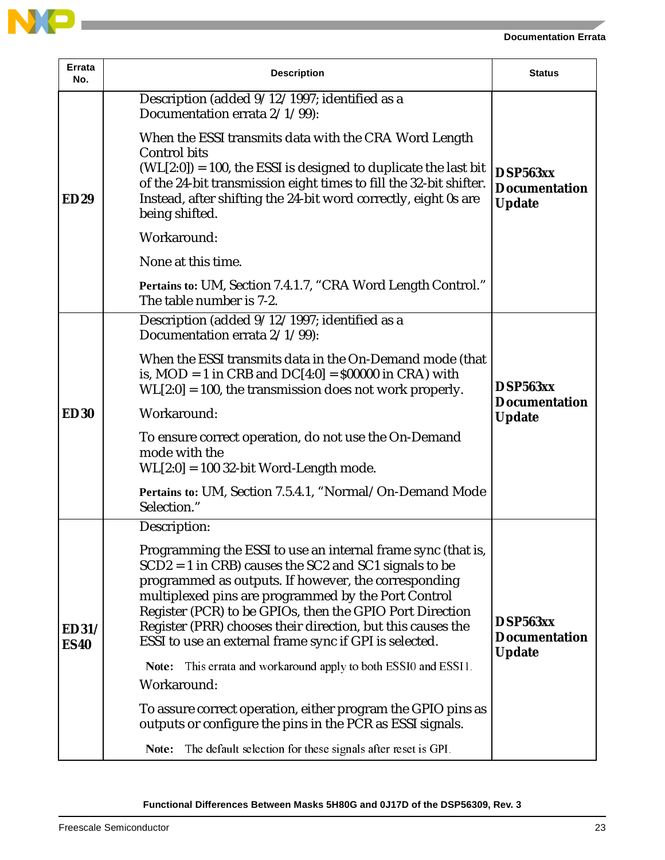

| Errata<br>No.               | <b>Description</b>                                                                                                                                                                                                                                                                                                                                                                                                          | <b>Status</b>                                     |
|-----------------------------|-----------------------------------------------------------------------------------------------------------------------------------------------------------------------------------------------------------------------------------------------------------------------------------------------------------------------------------------------------------------------------------------------------------------------------|---------------------------------------------------|
| <b>ED29</b>                 | Description (added 9/12/1997; identified as a<br>Documentation errata 2/1/99):                                                                                                                                                                                                                                                                                                                                              |                                                   |
|                             | When the ESSI transmits data with the CRA Word Length<br><b>Control bits</b><br>$(WL[2:0]) = 100$ , the ESSI is designed to duplicate the last bit<br>of the 24-bit transmission eight times to fill the 32-bit shifter.<br>Instead, after shifting the 24-bit word correctly, eight 0s are<br>being shifted.                                                                                                               | DSP563xx<br><b>Documentation</b><br><b>Update</b> |
|                             | Workaround:                                                                                                                                                                                                                                                                                                                                                                                                                 |                                                   |
|                             | None at this time.                                                                                                                                                                                                                                                                                                                                                                                                          |                                                   |
|                             | Pertains to: UM, Section 7.4.1.7, "CRA Word Length Control."<br>The table number is 7-2.                                                                                                                                                                                                                                                                                                                                    |                                                   |
|                             | Description (added 9/12/1997; identified as a<br>Documentation errata 2/1/99):                                                                                                                                                                                                                                                                                                                                              |                                                   |
| <b>ED30</b>                 | When the ESSI transmits data in the On-Demand mode (that<br>is, $MOD = 1$ in CRB and $DC[4:0] = $00000$ in CRA) with<br>$WL[2:0] = 100$ , the transmission does not work properly.                                                                                                                                                                                                                                          | DSP563xx<br><b>Documentation</b><br><b>Update</b> |
|                             | Workaround:                                                                                                                                                                                                                                                                                                                                                                                                                 |                                                   |
|                             | To ensure correct operation, do not use the On-Demand<br>mode with the<br>$WL[2:0] = 100$ 32-bit Word-Length mode.                                                                                                                                                                                                                                                                                                          |                                                   |
|                             | Pertains to: UM, Section 7.5.4.1, "Normal/On-Demand Mode<br>Selection."                                                                                                                                                                                                                                                                                                                                                     |                                                   |
|                             | Description:                                                                                                                                                                                                                                                                                                                                                                                                                |                                                   |
| <b>ED31/</b><br><b>ES40</b> | Programming the ESSI to use an internal frame sync (that is,<br>$SCD2 = 1$ in CRB) causes the SC2 and SC1 signals to be<br>programmed as outputs. If however, the corresponding<br>multiplexed pins are programmed by the Port Control<br>Register (PCR) to be GPIOs, then the GPIO Port Direction<br>Register (PRR) chooses their direction, but this causes the<br>ESSI to use an external frame sync if GPI is selected. | DSP563xx<br><b>Documentation</b><br><b>Update</b> |
|                             | This errata and workaround apply to both ESSI0 and ESSI1.<br>Note:<br>Workaround:                                                                                                                                                                                                                                                                                                                                           |                                                   |
|                             | To assure correct operation, either program the GPIO pins as<br>outputs or configure the pins in the PCR as ESSI signals.                                                                                                                                                                                                                                                                                                   |                                                   |
|                             | The default selection for these signals after reset is GPI.<br>Note:                                                                                                                                                                                                                                                                                                                                                        |                                                   |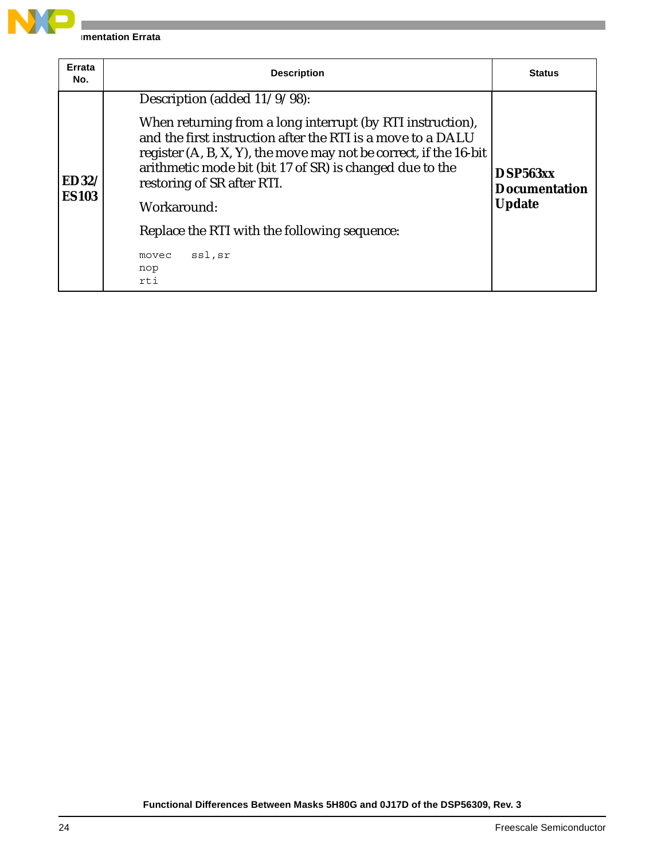

| Errata<br>No.                | <b>Description</b>                                                                                                                                                                                                                                                                                                                                                                                                          | <b>Status</b>                                     |
|------------------------------|-----------------------------------------------------------------------------------------------------------------------------------------------------------------------------------------------------------------------------------------------------------------------------------------------------------------------------------------------------------------------------------------------------------------------------|---------------------------------------------------|
| <b>ED32/</b><br><b>ES103</b> | Description (added $11/9/98$ ):<br>When returning from a long interrupt (by RTI instruction),<br>and the first instruction after the RTI is a move to a DALU<br>register (A, B, X, Y), the move may not be correct, if the 16-bit<br>arithmetic mode bit (bit 17 of SR) is changed due to the<br>restoring of SR after RTI.<br>Workaround:<br>Replace the RTI with the following sequence:<br>ssl,sr<br>movec<br>nop<br>rti | DSP563xx<br><b>Documentation</b><br><b>Update</b> |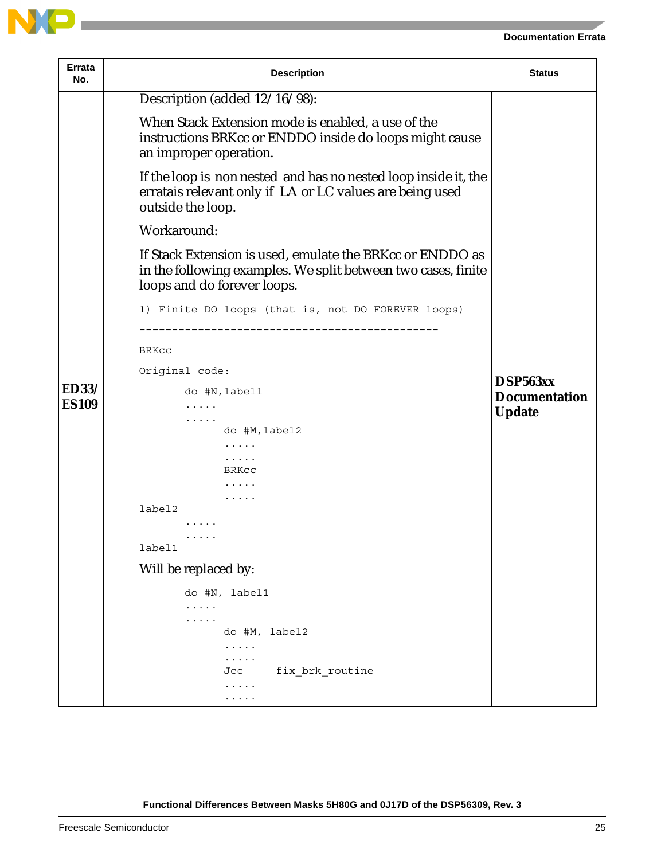

| Errata<br>No.                | <b>Description</b>                                                                                                                                        | <b>Status</b>                    |
|------------------------------|-----------------------------------------------------------------------------------------------------------------------------------------------------------|----------------------------------|
|                              | Description (added 12/16/98):                                                                                                                             |                                  |
|                              | When Stack Extension mode is enabled, a use of the<br>instructions BRKcc or ENDDO inside do loops might cause<br>an improper operation.                   |                                  |
|                              | If the loop is non nested and has no nested loop inside it, the<br>erratais relevant only if LA or LC values are being used<br>outside the loop.          |                                  |
|                              | Workaround:                                                                                                                                               |                                  |
|                              | If Stack Extension is used, emulate the BRKcc or ENDDO as<br>in the following examples. We split between two cases, finite<br>loops and do forever loops. |                                  |
|                              | 1) Finite DO loops (that is, not DO FOREVER loops)                                                                                                        |                                  |
|                              |                                                                                                                                                           |                                  |
|                              | <b>BRKCC</b>                                                                                                                                              |                                  |
|                              | Original code:                                                                                                                                            |                                  |
| <b>ED33/</b><br><b>ES109</b> | do #N, label1<br>$\cdots$                                                                                                                                 | DSP563xx<br><b>Documentation</b> |
|                              | .<br>do #M, label2<br>.                                                                                                                                   | <b>Update</b>                    |
|                              |                                                                                                                                                           |                                  |
|                              | BRKCC                                                                                                                                                     |                                  |
|                              | .                                                                                                                                                         |                                  |
|                              | label2                                                                                                                                                    |                                  |
|                              | .                                                                                                                                                         |                                  |
|                              | label1                                                                                                                                                    |                                  |
|                              | Will be replaced by:                                                                                                                                      |                                  |
|                              | do #N, label1                                                                                                                                             |                                  |
|                              | $\cdots$                                                                                                                                                  |                                  |
|                              | .<br>do #M, label2                                                                                                                                        |                                  |
|                              | $\cdots\cdots\cdots$                                                                                                                                      |                                  |
|                              | .                                                                                                                                                         |                                  |
|                              | fix brk routine<br>Jcc                                                                                                                                    |                                  |
|                              | .<br>.                                                                                                                                                    |                                  |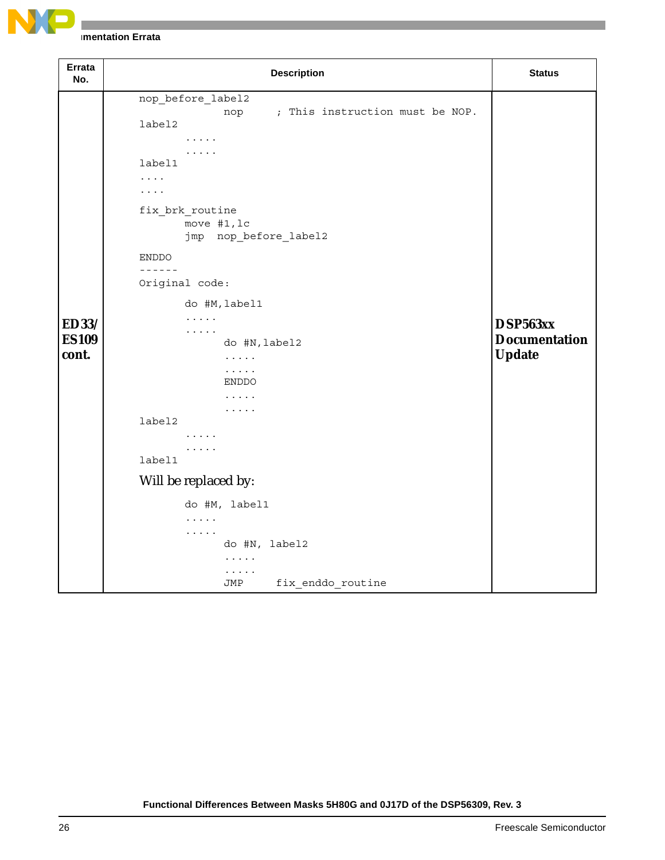

| Errata<br>No.                         | <b>Description</b>                                                                                                                                                                                                                                                                                                                                                                                                                                                                   | <b>Status</b>                                     |
|---------------------------------------|--------------------------------------------------------------------------------------------------------------------------------------------------------------------------------------------------------------------------------------------------------------------------------------------------------------------------------------------------------------------------------------------------------------------------------------------------------------------------------------|---------------------------------------------------|
| <b>ED33/</b><br><b>ES109</b><br>cont. | nop_before_label2<br>; This instruction must be NOP.<br>nop<br>label2<br>$\cdot$<br>.<br>label1<br>$\cdots$<br>$\cdots$<br>fix_brk_routine<br>move #1, lc<br>jmp nop_before_label2<br><b>ENDDO</b><br>$- - - - - -$<br>Original code:<br>do #M, label1<br>$\cdots$<br>$\cdots$<br>do #N, label2<br>$\cdots$<br>$\ldots$<br><b>ENDDO</b><br>.<br>.<br>label2<br>$\cdots$<br>.<br>label1<br>Will be replaced by:<br>do #M, label1<br>$\cdots$<br>$\cdots$<br>do #N, label2<br>$\cdots$ | DSP563xx<br><b>Documentation</b><br><b>Update</b> |
|                                       | .<br>fix enddo routine<br>JMP                                                                                                                                                                                                                                                                                                                                                                                                                                                        |                                                   |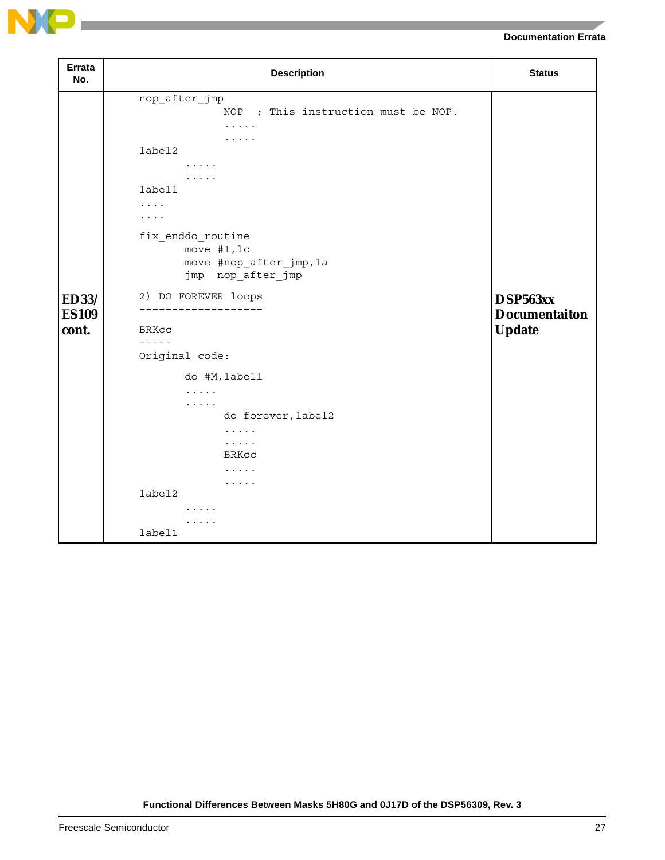

| <b>Errata</b><br>No.                  | <b>Description</b>                                                                                                                                                                                                                                                                                                                                                                                                                                | <b>Status</b>                                     |
|---------------------------------------|---------------------------------------------------------------------------------------------------------------------------------------------------------------------------------------------------------------------------------------------------------------------------------------------------------------------------------------------------------------------------------------------------------------------------------------------------|---------------------------------------------------|
| <b>ED33/</b><br><b>ES109</b><br>cont. | nop_after_jmp<br>NOP ; This instruction must be NOP.<br>.<br>.<br>label2<br>$\cdots\cdots\cdots$<br>.<br>label1<br>.<br>.<br>fix_enddo_routine<br>move #1, lc<br>move #nop_after_jmp, la<br>jmp nop_after_jmp<br>2) DO FOREVER loops<br>===================<br><b>BRKCC</b><br>$- - - - -$<br>Original code:<br>do #M, label1<br>$\cdots$<br>.<br>do forever, label2<br>.<br>$\cdots$<br><b>BRKCC</b><br>$\cdots$<br>$\cdots$<br>label2<br>.<br>. | DSP563xx<br><b>Documentaiton</b><br><b>Update</b> |
|                                       | label1                                                                                                                                                                                                                                                                                                                                                                                                                                            |                                                   |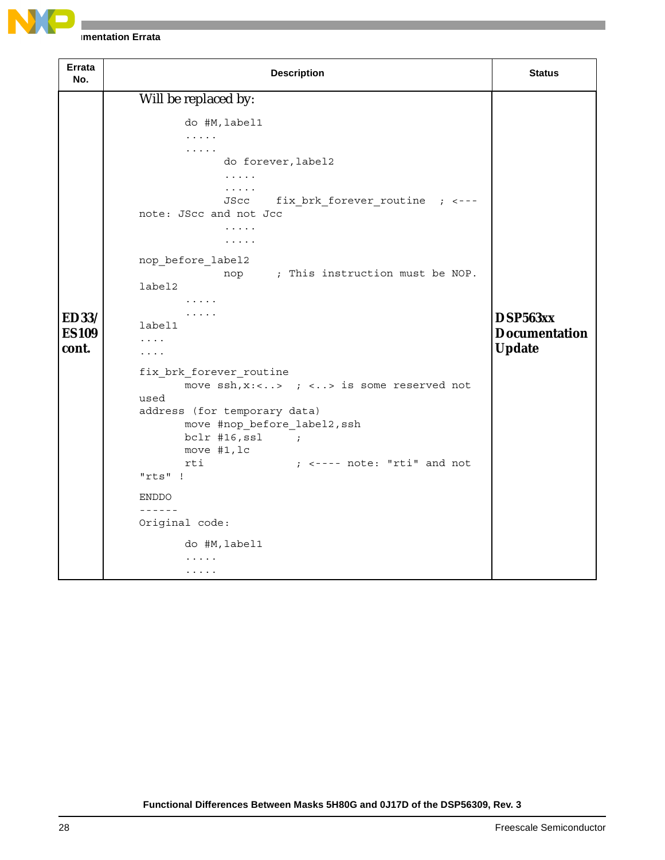

| Errata<br>No.                         | <b>Description</b>                                                                                                                                                                                                                                                                                                                                                                                                                                                                                                                                                                                                                                   | <b>Status</b>                                     |
|---------------------------------------|------------------------------------------------------------------------------------------------------------------------------------------------------------------------------------------------------------------------------------------------------------------------------------------------------------------------------------------------------------------------------------------------------------------------------------------------------------------------------------------------------------------------------------------------------------------------------------------------------------------------------------------------------|---------------------------------------------------|
| <b>ED33/</b><br><b>ES109</b><br>cont. | Will be replaced by:<br>do #M, label1<br>.<br>.<br>do forever, label2<br>.<br>$\cdots$<br>JScc fix_brk_forever_routine ; <---<br>note: JScc and not Jcc<br>$\cdots$<br>.<br>nop before label2<br>nop ; This instruction must be NOP.<br>label2<br>1.1.1.1<br>.<br>label1<br>.<br>.<br>fix_brk_forever_routine<br>move $\operatorname{ssh}$ , x:<> ; <> is some reserved not<br>used<br>address (for temporary data)<br>move #nop before label2, ssh<br>$bc1r$ #16, ssl<br>$\sim$ $\sim$ $\sim$ $\sim$ $\sim$ $\sim$<br>move #1, lc<br>rti<br>$;$ $\leftarrow$ ---- note: "rti" and not<br>"rts" !<br><b>ENDDO</b><br>$- - - - - -$<br>Original code: | DSP563xx<br><b>Documentation</b><br><b>Update</b> |
|                                       | do #M, label1<br>.<br>.                                                                                                                                                                                                                                                                                                                                                                                                                                                                                                                                                                                                                              |                                                   |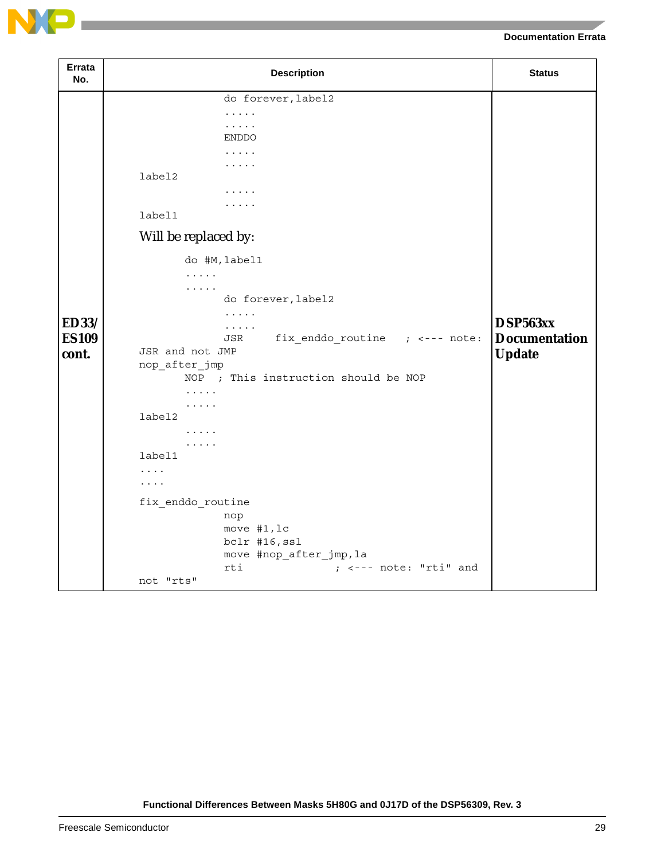

| Errata<br>No.                         | <b>Description</b>                                                                                                                                                                                                                                                                                                                                                                                                                                                                    | <b>Status</b>                                     |
|---------------------------------------|---------------------------------------------------------------------------------------------------------------------------------------------------------------------------------------------------------------------------------------------------------------------------------------------------------------------------------------------------------------------------------------------------------------------------------------------------------------------------------------|---------------------------------------------------|
| <b>ED33/</b><br><b>ES109</b><br>cont. | do forever, label2<br>.<br>.<br><b>ENDDO</b><br>.<br>.<br>label2<br>.<br>.<br>label1<br>Will be replaced by:<br>do #M, label1<br>$\cdots$<br>$\cdots$<br>do forever, label2<br>$\cdots$<br>$\cdots$<br>JSR<br>JSR and not JMP<br>nop_after_jmp<br>NOP ; This instruction should be NOP<br>.<br>$\cdots$<br>label2<br>.<br>.<br>label1<br>$\cdots$<br>$\cdots$<br>fix_enddo_routine<br>nop<br>move #1, lc<br>bclr #16, ssl<br>move #nop_after_jmp, la<br>rti<br>; <--- note: "rti" and | DSP563xx<br><b>Documentation</b><br><b>Update</b> |
|                                       | not "rts"                                                                                                                                                                                                                                                                                                                                                                                                                                                                             |                                                   |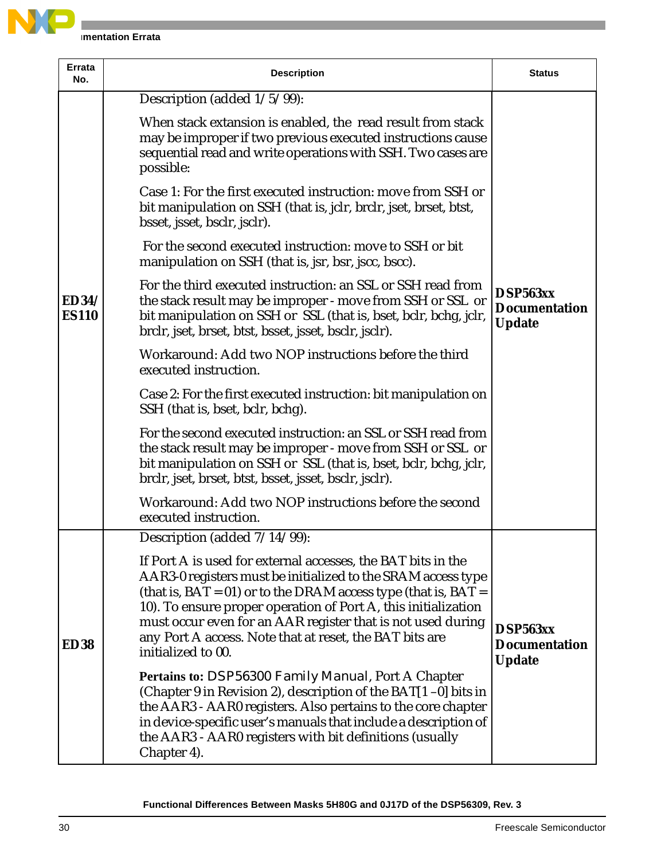

| <b>Errata</b><br>No.         | <b>Description</b>                                                                                                                                                                                                                                                                                                                                                                                                         | <b>Status</b>                                     |
|------------------------------|----------------------------------------------------------------------------------------------------------------------------------------------------------------------------------------------------------------------------------------------------------------------------------------------------------------------------------------------------------------------------------------------------------------------------|---------------------------------------------------|
|                              | Description (added $1/5/99$ ):                                                                                                                                                                                                                                                                                                                                                                                             |                                                   |
|                              | When stack extansion is enabled, the read result from stack<br>may be improper if two previous executed instructions cause<br>sequential read and write operations with SSH. Two cases are<br>possible:                                                                                                                                                                                                                    |                                                   |
|                              | Case 1: For the first executed instruction: move from SSH or<br>bit manipulation on SSH (that is, jclr, brclr, jset, brset, btst,<br>bsset, jsset, bsclr, jsclr).                                                                                                                                                                                                                                                          |                                                   |
|                              | For the second executed instruction: move to SSH or bit<br>manipulation on SSH (that is, jsr, bsr, jscc, bscc).                                                                                                                                                                                                                                                                                                            |                                                   |
| <b>ED34/</b><br><b>ES110</b> | For the third executed instruction: an SSL or SSH read from<br>the stack result may be improper - move from SSH or SSL or<br>bit manipulation on SSH or SSL (that is, bset, bclr, bchg, jclr,<br>brclr, jset, brset, btst, bsset, jsset, bsclr, jsclr).                                                                                                                                                                    | DSP563xx<br><b>Documentation</b><br><b>Update</b> |
|                              | Workaround: Add two NOP instructions before the third<br>executed instruction.                                                                                                                                                                                                                                                                                                                                             |                                                   |
|                              | Case 2: For the first executed instruction: bit manipulation on<br>SSH (that is, bset, bclr, bchg).                                                                                                                                                                                                                                                                                                                        |                                                   |
|                              | For the second executed instruction: an SSL or SSH read from<br>the stack result may be improper - move from SSH or SSL or<br>bit manipulation on SSH or SSL (that is, bset, bclr, bchg, jclr,<br>brclr, jset, brset, btst, bsset, jsset, bsclr, jsclr).                                                                                                                                                                   |                                                   |
|                              | Workaround: Add two NOP instructions before the second<br>executed instruction.                                                                                                                                                                                                                                                                                                                                            |                                                   |
|                              | Description (added $7/14/99$ ):                                                                                                                                                                                                                                                                                                                                                                                            |                                                   |
| <b>ED38</b>                  | If Port A is used for external accesses, the BAT bits in the<br>AAR3-0 registers must be initialized to the SRAM access type<br>(that is, $BAT = 01$ ) or to the DRAM access type (that is, $BAT = 01$ )<br>10). To ensure proper operation of Port A, this initialization<br>must occur even for an AAR register that is not used during<br>any Port A access. Note that at reset, the BAT bits are<br>initialized to 00. | DSP563xx<br><b>Documentation</b><br><b>Update</b> |
|                              | Pertains to: DSP56300 Family Manual, Port A Chapter<br>(Chapter 9 in Revision 2), description of the BAT[1-0] bits in<br>the AAR3 - AAR0 registers. Also pertains to the core chapter<br>in device-specific user's manuals that include a description of<br>the AAR3 - AAR0 registers with bit definitions (usually<br>Chapter 4).                                                                                         |                                                   |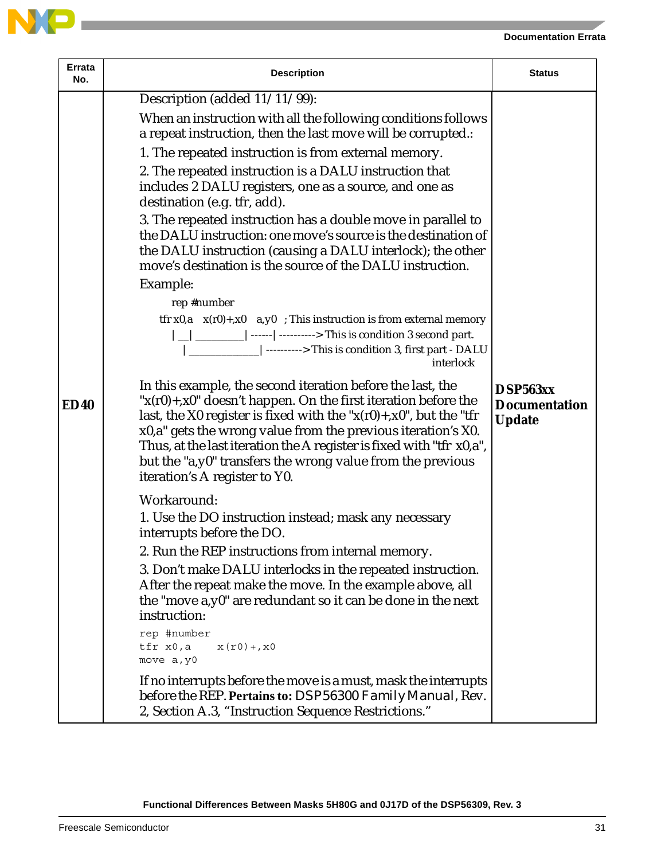

| Description (added $11/\overline{11/99}$ ):<br>When an instruction with all the following conditions follows<br>a repeat instruction, then the last move will be corrupted.:<br>1. The repeated instruction is from external memory.<br>2. The repeated instruction is a DALU instruction that<br>includes 2 DALU registers, one as a source, and one as<br>destination (e.g. tfr, add).<br>3. The repeated instruction has a double move in parallel to<br>the DALU instruction: one move's source is the destination of<br>the DALU instruction (causing a DALU interlock); the other<br>move's destination is the source of the DALU instruction.<br>Example:<br>rep #number<br>tfr x0,a $x(r0)$ +,x0 a,y0 ; This instruction is from external memory<br> _ __________ ------ ----------> This is condition 3 second part.<br>[-------------------------> This is condition 3, first part - DALU<br>interlock<br>In this example, the second iteration before the last, the<br>DSP563xx<br>" $x(r0) + x0$ " doesn't happen. On the first iteration before the<br><b>ED40</b><br><b>Documentation</b><br>last, the X0 register is fixed with the " $x(r0) + x0$ ", but the "tfr<br><b>Update</b><br>x0,a" gets the wrong value from the previous iteration's X0.<br>Thus, at the last iteration the A register is fixed with "tfr x0,a",<br>but the "a,y0" transfers the wrong value from the previous<br>iteration's A register to Y0.<br>Workaround:<br>1. Use the DO instruction instead; mask any necessary<br>interrupts before the DO.<br>2. Run the REP instructions from internal memory.<br>3. Don't make DALU interlocks in the repeated instruction.<br>After the repeat make the move. In the example above, all<br>the "move a,y0" are redundant so it can be done in the next<br>instruction:<br>rep #number<br>tfr x0,a<br>$x(r0) +$ , $x0$<br>move a, y0<br>If no interrupts before the move is a must, mask the interrupts<br>before the REP. Pertains to: <i>DSP56300 Family Manual</i> , Rev. |  |
|--------------------------------------------------------------------------------------------------------------------------------------------------------------------------------------------------------------------------------------------------------------------------------------------------------------------------------------------------------------------------------------------------------------------------------------------------------------------------------------------------------------------------------------------------------------------------------------------------------------------------------------------------------------------------------------------------------------------------------------------------------------------------------------------------------------------------------------------------------------------------------------------------------------------------------------------------------------------------------------------------------------------------------------------------------------------------------------------------------------------------------------------------------------------------------------------------------------------------------------------------------------------------------------------------------------------------------------------------------------------------------------------------------------------------------------------------------------------------------------------------------------------------------------------------------------------------------------------------------------------------------------------------------------------------------------------------------------------------------------------------------------------------------------------------------------------------------------------------------------------------------------------------------------------------------------------------------------------------------------------------------------------|--|